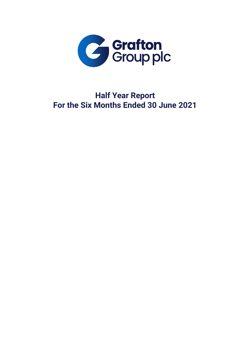

# **Half Year Report For the Six Months Ended 30 June 2021**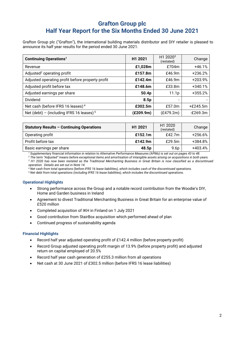# **Grafton Group plc Half Year Report for the Six Months Ended 30 June 2021**

Grafton Group plc ("Grafton"), the international building materials distributor and DIY retailer is pleased to announce its half year results for the period ended 30 June 2021.

| <b>Continuing Operations<sup>1</sup></b>             | H1 2021          | H1 2020 <sup>3</sup><br>(restated) | Change     |
|------------------------------------------------------|------------------|------------------------------------|------------|
| Revenue                                              | £1,028m          | £704m                              | $+46.1%$   |
| Adjusted <sup>2</sup> operating profit               | £157.8m          | £46.9m                             | +236.2%    |
| Adjusted operating profit before property profit     | £142.4m          | £46.9m                             | +203.9%    |
| Adjusted profit before tax                           | £148.6m          | £33.8m                             | $+340.1%$  |
| Adjusted earnings per share                          | 50.4p            | 11.1 <sub>p</sub>                  | +355.2%    |
| Dividend                                             | 8.5 <sub>p</sub> |                                    |            |
| Net cash (before IFRS 16 leases) <sup>4</sup>        | £302.5m          | £57.0 $m$                          | $+£245.5m$ |
| Net (debt) – (including IFRS 16 leases) <sup>5</sup> | (£209.9m)        | (E479.2m)                          | $-E269.3m$ |

| <b>Statutory Results - Continuing Operations</b> | H1 2021    | H <sub>1</sub> 2020<br>(restated) | Change    |
|--------------------------------------------------|------------|-----------------------------------|-----------|
| Operating profit                                 | £152.1 $m$ | £42.7m                            | $+256.6%$ |
| Profit before tax                                | £142.9m    | £29.5 $m$                         | +384.8%   |
| Basic earnings per share                         | 48.5p      | 9.6 <sub>D</sub>                  | $+403.4%$ |

<sup>1</sup> Supplementary financial information in relation to Alternative Performance Measures (APMs) is set out on pages 43 to 48.<br><sup>2</sup> The term "Adjusted" means before exceptional items and amortisation of intangible assets aris

*<sup>3</sup> H1 2020 has now been restated as the Traditional Merchanting Business in Great Britain is now classified as a discontinued operation. Details are set out in Note 14.*

*<sup>4</sup> Net cash from total operations (before IFRS 16 lease liabilities), which includes cash of the discontinued operations.*

*<sup>5</sup> Net debt from total operations (including IFRS 16 lease liabilities), which includes the discontinued operations.*

### **Operational Highlights**

- Strong performance across the Group and a notable record contribution from the Woodie's DIY, Home and Garden business in Ireland
- Agreement to divest Traditional Merchanting Business in Great Britain for an enterprise value of £520 million
- Completed acquisition of IKH in Finland on 1 July 2021
- Good contribution from StairBox acquisition which performed ahead of plan
- Continued progress of sustainability agenda

### **Financial Highlights**

- Record half year adjusted operating profit of £142.4 million (before property profit)
- Record Group adjusted operating profit margin of 13.9% (before property profit) and adjusted return on capital employed of 20.5%
- Record half year cash generation of £255.3 million from all operations
- Net cash at 30 June 2021 of £302.5 million (before IFRS 16 lease liabilities)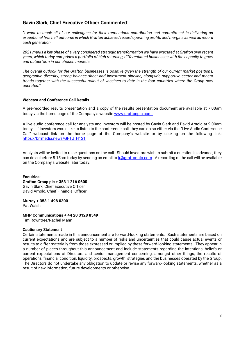## **Gavin Slark, Chief Executive Officer Commented**:

*"I want to thank all of our colleagues for their tremendous contribution and commitment in delivering an exceptional first half outcome in which Grafton achieved record operating profits and margins as well as record cash generation.*

*2021 marks a key phase of a very considered strategic transformation we have executed at Grafton over recent years, which today comprises a portfolio of high returning, differentiated businesses with the capacity to grow and outperform in our chosen markets.*

*The overall outlook for the Grafton businesses is positive given the strength of our current market positions, geographic diversity, strong balance sheet and investment pipeline, alongside supportive sector and macro trends together with the successful rollout of vaccines to date in the four countries where the Group now operates."*

### **Webcast and Conference Call Details**

A pre-recorded results presentation and a copy of the results presentation document are available at 7:00am today via the home page of the Company's website [www.graftonplc.com.](http://www.graftonplc.com/)

A live audio conference call for analysts and investors will be hosted by Gavin Slark and David Arnold at 9:00am today. If investors would like to listen to the conference call, they can do so either via the "Live Audio Conference Call" webcast link on the home page of the Company's website or by clicking on the following link: [https://brrmedia.news/GFTU\\_H121](https://brrmedia.news/GFTU_H121)

Analysts will be invited to raise questions on the call. Should investors wish to submit a question in advance, they can do so before 8.15am today by sending an email to *ir@graftonplc.com.* A recording of the call will be available on the Company's website later today.

#### **Enquiries: Grafton Group plc + 353 1 216 0600** Gavin Slark, Chief Executive Officer David Arnold, Chief Financial Officer

**Murray + 353 1 498 0300**

Pat Walsh

### **MHP Communications + 44 20 3128 8549**

Tim Rowntree/Rachel Mann

### **Cautionary Statement**

Certain statements made in this announcement are forward-looking statements. Such statements are based on current expectations and are subject to a number of risks and uncertainties that could cause actual events or results to differ materially from those expressed or implied by these forward-looking statements. They appear in a number of places throughout this announcement and include statements regarding the intentions, beliefs or current expectations of Directors and senior management concerning, amongst other things, the results of operations, financial condition, liquidity, prospects, growth, strategies and the businesses operated by the Group. The Directors do not undertake any obligation to update or revise any forward-looking statements, whether as a result of new information, future developments or otherwise.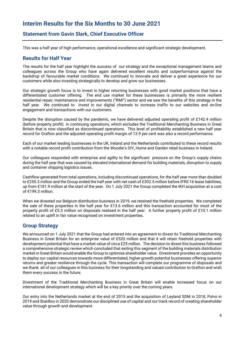# **Interim Results for the Six Months to 30 June 2021**

# **Statement from Gavin Slark, Chief Executive Officer**

This was a half year of high performance, operational excellence and significant strategic development.

# **Results for Half Year**

The results for the half year highlight the success of our strategy and the exceptional management teams and colleagues across the Group who have again delivered excellent results and outperformance against the backdrop of favourable market conditions. We continued to innovate and deliver a great experience for our customers while also investing strategically to develop and grow our businesses.

Our strategic growth focus is to invest in higher returning businesses with good market positions that have a differentiated customer offering. The end use market for these businesses is primarily the more resilient residential repair, maintenance and improvements ("RMI") sector and we saw the benefits of this strategy in the half year. We continued to invest in our digital channels to increase traffic to our websites and on-line engagement and transactions with our customers.

Despite the disruption caused by the pandemic, we have delivered adjusted operating profit of £142.4 million (before property profit) in continuing operations, which excludes the Traditional Merchanting Business in Great Britain that is now classified as discontinued operations. This level of profitability established a new half year record for Grafton and the adjusted operating profit margin of 13.9 per cent was also a record performance.

Each of our market leading businesses in the UK, Ireland and the Netherlands contributed to these record results with a notable record profit contribution from the Woodie's DIY, Home and Garden retail business in Ireland.

Our colleagues responded with enterprise and agility to the significant pressure on the Group's supply chains during the half year that was caused by elevated international demand for building materials, disruption to supply and container shipping logistics issues.

Cashflow generated from total operations, including discontinued operations, for the half year more than doubled to £255.3 million and the Group ended the half year with net cash of £302.5 million before IFRS 16 lease liabilities, up from £181.9 million at the start of the year. On 1 July 2021 the Group completed the IKH acquisition at a cost of €199.3 million.

When we divested our Belgium distribution business in 2019, we retained the freehold properties. We completed the sale of these properties in the half year for £13.6 million and this transaction accounted for most of the property profit of £5.3 million on disposals realised in the half year. A further property profit of £10.1 million related to an uplift in fair value recognised on investment properties.

# **Group Strategy**

We announced on 1 July 2021 that the Group had entered into an agreement to divest its Traditional Merchanting Business in Great Britain for an enterprise value of £520 million and that it will retain freehold properties with development potential that have a market value of circa £25 million. The decision to divest this business followed a comprehensive strategic review which concluded that exiting this segment of the building materials distribution market in Great Britain would enable the Group to optimise shareholder value. Divestment provides an opportunity to deploy our capital resources towards more differentiated, higher growth potential businesses offering superior returns and greater resilience through the cycle. This transaction will complete our programme of disposals and we thank all of our colleagues in this business for their longstanding and valued contribution to Grafton and wish them every success in the future.

Divestment of the Traditional Merchanting Business in Great Britain will enable increased focus on our international development strategy which will be a key priority over the coming years.

Our entry into the Netherlands market at the end of 2015 and the acquisition of Leyland SDM in 2018, Polvo in 2019 and StairBox in 2020 demonstrate our disciplined use of capital and our track record of creating shareholder value through growth and development.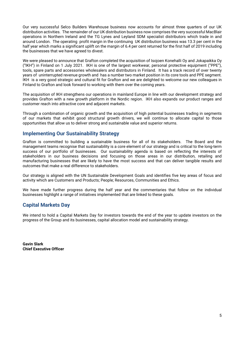Our very successful Selco Builders Warehouse business now accounts for almost three quarters of our UK distribution activities. The remainder of our UK distribution business now comprises the very successful MacBlair operations in Northern Ireland and the TG Lynes and Leyland SDM specialist distributors which trade in and around London. The operating profit margin in the continuing UK distribution business was 13.3 per cent in the half year which marks a significant uplift on the margin of 6.4 per cent returned for the first half of 2019 including the businesses that we have agreed to divest.

We were pleased to announce that Grafton completed the acquisition of Isojoen Konehalli Oy and Jokapaikka Oy ("IKH") in Finland on 1 July 2021. IKH is one of the largest workwear, personal protective equipment ("PPE"), tools, spare parts and accessories wholesalers and distributors in Finland. It has a track record of over twenty years of uninterrupted revenue growth and has a number two market position in its core tools and PPE segment. IKH is a very good strategic and cultural fit for Grafton and we are delighted to welcome our new colleagues in Finland to Grafton and look forward to working with them over the coming years.

The acquisition of IKH strengthens our operations in mainland Europe in line with our development strategy and provides Grafton with a new growth platform in the Nordic region. IKH also expands our product ranges and customer reach into attractive core and adjacent markets.

Through a combination of organic growth and the acquisition of high potential businesses trading in segments of our markets that exhibit good structural growth drivers, we will continue to allocate capital to those opportunities that allow us to deliver strong and sustainable value and superior returns.

## **Implementing Our Sustainability Strategy**

Grafton is committed to building a sustainable business for all of its stakeholders. The Board and the management teams recognise that sustainability is a core element of our strategy and is critical to the long-term success of our portfolio of businesses. Our sustainability agenda is based on reflecting the interests of stakeholders in our business decisions and focusing on those areas in our distribution, retailing and manufacturing businesses that are likely to have the most success and that can deliver tangible results and outcomes that make a real difference to stakeholders.

Our strategy is aligned with the UN Sustainable Development Goals and identifies five key areas of focus and activity which are Customers and Products; People; Resources, Communities and Ethics.

We have made further progress during the half year and the commentaries that follow on the individual businesses highlight a range of initiatives implemented that are linked to these goals.

# **Capital Markets Day**

We intend to hold a Capital Markets Day for investors towards the end of the year to update investors on the progress of the Group and its businesses, capital allocation model and sustainability strategy.

**Gavin Slark Chief Executive Officer**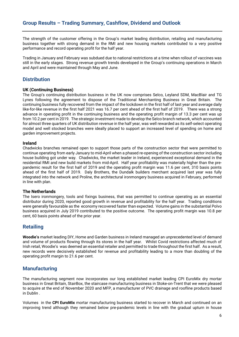The strength of the customer offering in the Group's market leading distribution, retailing and manufacturing business together with strong demand in the RMI and new housing markets contributed to a very positive performance and record operating profit for the half year.

Trading in January and February was subdued due to national restrictions at a time when rollout of vaccines was still in the early stages. Strong revenue growth trends developed in the Group's continuing operations in March and April and were maintained through May and June.

# **Distribution**

### **UK (Continuing Business)**

The Group's continuing distribution business in the UK now comprises Selco, Leyland SDM, MacBlair and TG Lynes following the agreement to dispose of the Traditional Merchanting Business in Great Britain. The continuing business fully recovered from the impact of the lockdown in the first half of last year and average daily like-for-like revenue in the first half 2021 was 16.7 per cent ahead of the first half of 2019. There was a strong advance in operating profit in the continuing business and the operating profit margin of 13.3 per cent was up from 10.2 per cent in 2019. The strategic investment made to develop the Selco branch network, which accounted for almost three quarters of UK distribution revenue in the half year, was well rewarded as its self-select operating model and well stocked branches were ideally placed to support an increased level of spending on home and garden improvement projects.

### **Ireland**

Chadwicks branches remained open to support those parts of the construction sector that were permitted to continue operating from early January to mid-April when a phased re-opening of the construction sector including house building got under way. Chadwicks, the market leader in Ireland, experienced exceptional demand in the residential RMI and new build markets from mid-April. Half year profitability was materially higher than the prepandemic result for the first half of 2019 and the operating profit margin was 11.6 per cent, 310 basis points ahead of the first half of 2019. Daly Brothers, the Dundalk builders merchant acquired last year was fully integrated into the network and Proline, the architectural ironmongery business acquired in February, performed in line with plan.

### **The Netherlands**

The Isero ironmongery, tools and fixings business, that was permitted to continue operating as an essential distributor during 2020, reported good growth in revenue and profitability for the half year. Trading conditions were generally favourable as the economy recovered faster than expected. Volume gains in the substantial Polvo business acquired in July 2019 contributed to the positive outcome. The operating profit margin was 10.8 per cent, 60 basis points ahead of the prior year.

## **Retailing**

**Woodie's** market leading DIY, Home and Garden business in Ireland managed an unprecedented level of demand and volume of products flowing through its stores in the half year. Whilst Covid restrictions affected much of Irish retail, Woodie's was deemed an essential retailer and permitted to trade throughout the first half. As a result, new records were decisively established for revenue and profitability leading to a more than doubling of the operating profit margin to 21.6 per cent.

# **Manufacturing**

The manufacturing segment now incorporates our long established market leading CPI EuroMix dry mortar business in Great Britain, StairBox, the staircase manufacturing business in Stoke-on-Trent that we were pleased to acquire at the end of November 2020 and MFP, a manufacturer of PVC drainage and roofline products based in Dublin .

Volumes in the **CPI EuroMix** mortar manufacturing business started to recover in March and continued on an improving trend although they remained below pre-pandemic levels in line with the gradual upturn in house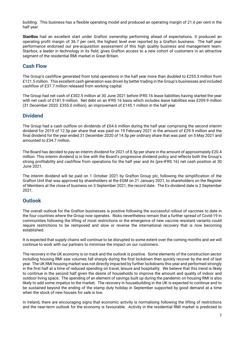building. This business has a flexible operating model and produced an operating margin of 21.6 per cent in the half year.

**StairBox** had an excellent start under Grafton ownership performing ahead of expectations. It produced an operating profit margin of 36.7 per cent, the highest level ever reported by a Grafton business. The half year performance endorsed our pre-acquisition assessment of this high quality business and management team. Stairbox, a leader in technology in its field, gives Grafton access to a new cohort of customers in an attractive segment of the residential RMI market in Great Britain.

# **Cash Flow**

The Group's cashflow generated from total operations in the half year more than doubled to £255.3 million from £121.5 million. This excellent cash generation was driven by better trading in the Group's businesses and included cashflow of £37.7 million released from working capital.

The Group had net cash of £302.5 million at 30 June 2021 before IFRS 16 lease liabilities having started the year with net cash of £181.9 million. Net debt on an IFRS 16 basis which includes lease liabilities was £209.9 million (31 December 2020: £355.0 million), an improvement of £145.1 million in the half year.

# **Dividend**

The Group had a cash outflow on dividends of £64.6 million during the half year comprising the second interim dividend for 2019 of 12.5p per share that was paid on 19 February 2021 in the amount of £29.9 million and the final dividend for the year ended 31 December 2020 of 14.5p per ordinary share that was paid on 5 May 2021 and amounted to £34.7 million.

The Board has decided to pay an interim dividend for 2021 of 8.5p per share in the amount of approximately £20.4 million. This interim dividend is in line with the Board's progressive dividend policy and reflects both the Group's strong profitability and cashflow from operations for the half year and its (pre-IFRS 16) net cash position at 30 June 2021.

The interim dividend will be paid on 1 October 2021 by Grafton Group plc, following the simplification of the Grafton Unit that was approved by shareholders at the EGM on 21 January 2021, to shareholders on the Register of Members at the close of business on 3 September 2021, the record date. The Ex-dividend date is 2 September 2021.

# **Outlook**

The overall outlook for the Grafton businesses is positive following the successful rollout of vaccines to date in the four countries where the Group now operates. Risks nevertheless remain that a further spread of Covid-19 in communities following the lifting of most restrictions or the emergence of new vaccine resistant variants could require restrictions to be reimposed and slow or reverse the international recovery that is now becoming established.

It is expected that supply chains will continue to be disrupted to some extent over the coming months and we will continue to work with our partners to minimise the impact on our customers.

The recovery in the UK economy is on track and the outlook is positive. Some elements of the construction sector including housing RMI saw volumes fall sharply during the first lockdown then quickly recover by the end of last year. The UK RMI housing market was not directly impacted by further lockdowns this year and performed strongly in the first half at a time of reduced spending on travel, leisure and hospitality. We believe that this trend is likely to continue in the second half given the desire of households to improve the amount and quality of indoor and outdoor living space. The spending of an element of savings built up during the pandemic on housing RMI is also likely to add some impetus to the market. The recovery in housebuilding in the UK is expected to continue and to be sustained beyond the ending of the stamp duty holiday in September supported by good demand at a time when the stock of new houses for sale is low.

In Ireland, there are encouraging signs that economic activity is normalising following the lifting of restrictions and the near-term outlook for the economy is favourable. Activity in the residential RMI market is predicted to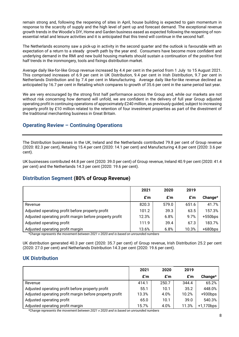remain strong and, following the reopening of sites in April, house building is expected to gain momentum in response to the scarcity of supply and the high level of pent up and forecast demand. The exceptional revenue growth trends in the Woodie's DIY, Home and Garden business eased as expected following the reopening of nonessential retail and leisure activities and it is anticipated that this trend will continue in the second half.

The Netherlands economy saw a pick-up in activity in the second quarter and the outlook is favourable with an expectation of a return to a steady growth path by the year end. Consumers have become more confident and underlying demand in the RMI and new build housing markets should sustain a continuation of the positive first half trends in the ironmongery, tools and fixings distribution market.

Average daily like-for-like Group revenue increased by 4.4 per cent in the period from 1 July to 15 August 2021. This comprised increases of 6.9 per cent in UK Distribution, 9.4 per cent in Irish Distribution, 9.7 per cent in Netherlands Distribution and by 7.4 per cent in Manufacturing. Average daily like-for-like revenue declined as anticipated by 16.7 per cent in Retailing which compares to growth of 35.6 per cent in the same period last year.

We are very encouraged by the strong first half performance across the Group and, while our markets are not without risk concerning how demand will unfold, we are confident in the delivery of full year Group adjusted operating profit in continuing operations of approximately £240 million, as previously guided, subject to increasing property profit by £10 million related to the retention of four investment properties as part of the divestment of the traditional merchanting business in Great Britain.

# **Operating Review – Continuing Operations**

The Distribution businesses in the UK, Ireland and the Netherlands contributed 79.8 per cent of Group revenue (2020: 82.3 per cent), Retailing 15.4 per cent (2020: 14.1 per cent) and Manufacturing 4.8 per cent (2020: 3.6 per cent).

UK businesses contributed 44.8 per cent (2020: 39.0 per cent) of Group revenue, Ireland 40.9 per cent (2020: 41.4 per cent) and the Netherlands 14.3 per cent (2020: 19.6 per cent).

# **Distribution Segment (80% of Group Revenue)**

|                                                         | 2021  | 2020  | 2019  |           |
|---------------------------------------------------------|-------|-------|-------|-----------|
|                                                         | f'm   | f'm   | £'m   | Change*   |
| Revenue                                                 | 820.3 | 579.0 | 651.6 | 41.7%     |
| Adjusted operating profit before property profit        | 101.2 | 39.3  | 63.5  | 157.3%    |
| Adjusted operating profit margin before property profit | 12.3% | 6.8%  | 9.7%  | $+550bps$ |
| Adjusted operating profit                               | 111.9 | 39.4  | 67.3  | 183.7%    |
| Adjusted operating profit margin                        | 13.6% | 6.8%  | 10.3% | $+680bps$ |

*\*Change represents the movement between 2021 v 2020 and is based on unrounded numbers*

UK distribution generated 40.3 per cent (2020: 35.7 per cent) of Group revenue, Irish Distribution 25.2 per cent (2020: 27.0 per cent) and Netherlands Distribution 14.3 per cent (2020: 19.6 per cent).

# **UK Distribution**

|                                                         | 2021   | 2020   | 2019  |             |
|---------------------------------------------------------|--------|--------|-------|-------------|
|                                                         | $f2$ m | $f2$ m | £'m   | Change*     |
| Revenue                                                 | 414.1  | 250.7  | 344.4 | 65.2%       |
| Adjusted operating profit before property profit        | 55.1   | 10.1   | 35.2  | 448.0%      |
| Adjusted operating profit margin before property profit | 13.3%  | 4.0%   | 10.2% | $+930$ bps  |
| Adjusted operating profit                               | 65.0   | 10.1   | 39.0  | 540.3%      |
| Adjusted operating profit margin                        | 15.7%  | 4.0%   | 11.3% | $+1,170bps$ |

*\*Change represents the movement between 2021 v 2020 and is based on unrounded numbers*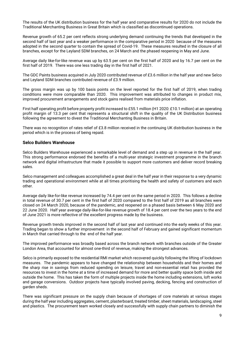The results of the UK distribution business for the half year and comparative results for 2020 do not include the Traditional Merchanting Business in Great Britain which is classified as discontinued operations.

Revenue growth of 65.2 per cent reflects strong underlying demand continuing the trends that developed in the second half of last year and a weaker performance in the comparative period in 2020 because of the measures adopted in the second quarter to contain the spread of Covid-19. These measures resulted in the closure of all branches, except for the Leyland SDM branches, on 24 March and the phased reopening in May and June.

Average daily like-for-like revenue was up by 63.5 per cent on the first half of 2020 and by 16.7 per cent on the first half of 2019. There was one less trading day in the first half of 2021.

The GDC Paints business acquired in July 2020 contributed revenue of £3.6 million in the half year and new Selco and Leyland SDM branches contributed revenue of £3.9 million.

The gross margin was up by 100 basis points on the level reported for the first half of 2019, when trading conditions were more comparable than 2020. This improvement was attributed to changes in product mix, improved procurement arrangements and stock gains realised from materials price inflation.

First half operating profit before property profit increased to £55.1 million (H1 2020: £10.1 million) at an operating profit margin of 13.3 per cent that represents a structural shift in the quality of the UK Distribution business following the agreement to divest the Traditional Merchanting Business in Britain.

There was no recognition of rates relief of £3.8 million received in the continuing UK distribution business in the period which is in the process of being repaid.

### **Selco Builders Warehouse**

Selco Builders Warehouse experienced a remarkable level of demand and a step up in revenue in the half year. This strong performance endorsed the benefits of a multi-year strategic investment programme in the branch network and digital infrastructure that made it possible to support more customers and deliver record breaking sales.

Selco management and colleagues accomplished a great deal in the half year in their response to a very dynamic trading and operational environment while at all times prioritising the health and safety of customers and each other.

Average daily like-for-like revenue increased by 74.4 per cent on the same period in 2020. This follows a decline in total revenue of 30.7 per cent in the first half of 2020 compared to the first half of 2019 as all branches were closed on 24 March 2020, because of the pandemic, and reopened on a phased basis between 6 May 2020 and 22 June 2020. Half year average daily-like-for-like revenue growth of 18.4 per cent over the two years to the end of June 2021 is more reflective of the excellent progress made by the business.

Revenue growth trends improved in the second half of last year and continued into the early weeks of this year. Trading began to show a further improvement in the second half of February and gained significant momentum in March that carried through to the end of the half year.

The improved performance was broadly based across the branch network with branches outside of the Greater London Area, that accounted for almost one-third of revenue, making the strongest advances.

Selco is primarily exposed to the residential RMI market which recovered quickly following the lifting of lockdown measures. The pandemic appears to have changed the relationship between households and their homes and the sharp rise in savings from reduced spending on leisure, travel and non-essential retail has provided the resources to invest in the home at a time of increased demand for more and better quality space both inside and outside the home. This has taken the form of multiple projects inside the home including extensions, loft works and garage conversions. Outdoor projects have typically involved paving, decking, fencing and construction of garden sheds.

There was significant pressure on the supply chain because of shortages of core materials at various stages during the half year including aggregates, cement, plasterboard, treated timber, sheet materials, landscaping, steel and plastics. The procurement team worked closely and successfully with supply chain partners to diminish the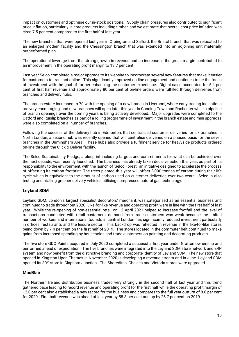impact on customers and optimise our in-stock positions. Supply chain pressures also contributed to significant price inflation, particularly in core products including timber, and we estimate that overall cost price inflation was circa 7.5 per cent compared to the first half of last year.

The new branches that were opened last year in Orpington and Salford, the Bristol branch that was relocated to an enlarged modern facility and the Chessington branch that was extended into an adjoining unit materially outperformed plan.

The operational leverage from the strong growth in revenue and an increase in the gross margin contributed to an improvement in the operating profit margin to 13.7 per cent.

Last year Selco completed a major upgrade to its website to incorporate several new features that make it easier for customers to transact online. This significantly improved on-line engagement and continues to be the focus of investment with the goal of further enhancing the customer experience. Digital sales accounted for 5.4 per cent of first half revenue and approximately 80 per cent of on-line orders were fulfilled through deliveries from branches and delivery hubs.

The branch estate increased to 70 with the opening of a new branch in Liverpool, where early trading indications are very encouraging, and new branches will open later this year in Canning Town and Rochester while a pipeline of branch openings over the coming years is being actively developed. Major upgrades were completed to the Catford and Ruislip branches as part of a rolling programme of investment in the branch estate and mini upgrades were also completed on a number of branches.

Following the success of the delivery hub in Edmonton, that centralised customer deliveries for six branches in North London, a second hub was recently opened that will centralise deliveries on a phased basis for the seven branches in the Birmingham Area. These hubs also provide a fulfilment service for heavyside products ordered on-line through the Click & Deliver facility.

The Selco Sustainability Pledge, a blueprint including targets and commitments for what can be achieved over the next decade, was recently launched. The business has already taken decisive action this year, as part of its responsibility to the environment, with the launch of 'Selco Forest', an initiative designed to accelerate the process of offsetting its carbon footprint. The trees planted this year will offset 8,000 tonnes of carbon during their life cycle which is equivalent to the amount of carbon used on customer deliveries over two years. Selco is also testing and trialling greener delivery vehicles utilising compressed natural gas technology.

### **Leyland SDM**

Leyland SDM, London's largest specialist decorators' merchant, was categorised as an essential business and continued to trade throughout 2020. Like-for-like revenue and operating profit were in line with the first half of last year. While the re-opening of non-essential retail on 12 April 2021 helped to increase footfall and the level of transactions conducted with retail customers, demand from trade customers was weak because the limited number of workers and international tourists in central London has significantly reduced investment particularly in offices, restaurants and the leisure sector. This backdrop was reflected in revenue in the like-for-like stores being down by 7.4 per cent on the first half of 2019. The stores located in the commuter belt continued to make gains from increased spending by households and trade customers on painting and decorating products.

The five store GDC Paints acquired in July 2020 completed a successful first year under Grafton ownership and performed ahead of expectation. The five branches were integrated into the Leyland SDM store network and ERP system and now benefit from the distinctive branding and corporate identity of Leyland SDM. The new store that opened in Kingston-Upon-Thames in November 2020 is developing a revenue stream and in June Leyland SDM opened its 30th store in Clapham Junction. The Shoreditch, Chelsea and Victoria stores were upgraded.

### **MacBlair**

The Northern Ireland distribution business traded very strongly in the second half of last year and this trend gathered pace leading to record revenue and operating profit for the first half while the operating profit margin of 12.0 per cent also established a new record for the business and compares to the full year outturn of 8.6 per cent for 2020. First half revenue was ahead of last year by 58.3 per cent and up by 26.7 per cent on 2019.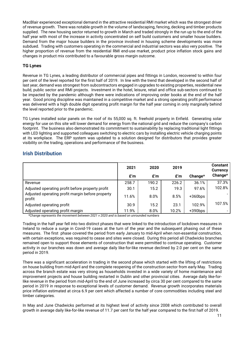MacBlair experienced exceptional demand in the attractive residential RMI market which was the strongest driver of revenue growth. There was notable growth in the volume of landscaping, fencing, decking and timber products supplied. The new housing sector returned to growth in March and traded strongly in the run up to the end of the half year with most of the increase in activity concentrated on self build customers and smaller house builders. Demand from the major house builders in the province involved in housing scheme developments was more subdued. Trading with customers operating in the commercial and industrial sectors was also very positive. The higher proportion of revenue from the residential RMI end-use market, product price inflation stock gains and changes in product mix contributed to a favourable gross margin outcome.

### **TG Lynes**

Revenue in TG Lynes, a leading distributor of commercial pipes and fittings in London, recovered to within four per cent of the level reported for the first half of 2019. In line with the trend that developed in the second half of last year, demand was strongest from subcontractors engaged in upgrades to existing properties, residential new build, public sector and RMI projects. Investment in the hotel, leisure, retail and office sub-sectors continued to be impacted by the pandemic although there were indications of improving order books at the end of the half year. Good pricing discipline was maintained in a competitive market and a strong operating profit performance was delivered with a high double digit operating profit margin for the half year coming in only marginally behind the level reported prior to the pandemic.

TG Lynes installed solar panels on the roof of its 55,000 sq. ft. freehold property in Enfield. Generating solar energy for use on this site will lower demand for energy from the national grid and reduce the company's carbon footprint. The business also demonstrated its commitment to sustainability by replacing traditional light fittings with LED lighting and supported colleagues switching to electric cars by installing electric vehicle charging points at its workplace. The ERP system was updated to a solution designed for distributors that provides greater visibility on the trading, operations and performance of the business.

|                                                            | 2021  | 2020  | 2019  |            | <b>Constant</b><br><b>Currency</b> |
|------------------------------------------------------------|-------|-------|-------|------------|------------------------------------|
|                                                            | £'m   | f'm   | £'n   | Change*    | Change*                            |
| Revenue                                                    | 258.7 | 190.2 | 226.2 | 36.1%      | 37.3%                              |
| Adjusted operating profit before property profit           | 30.1  | 15.2  | 19.3  | 97.6%      | 102.8%                             |
| Adjusted operating profit margin before property<br>profit | 11.6% | 8.0%  | 8.5%  | $+360bps$  |                                    |
| Adjusted operating profit                                  | 30.9  | 15.2  | 23.1  | 102.9%     | 107.5%                             |
| Adjusted operating profit margin                           | 11.9% | 8.0%  | 10.2% | $+390$ bps |                                    |

# **Irish Distribution**

*\*Change represents the movement between 2021 v 2020 and is based on unrounded numbers*

Trading in the half year fell into two distinct phases that were linked to the introduction of lockdown measures in Ireland to reduce a surge in Covid-19 cases at the turn of the year and the subsequent phasing out of these measures. The first phase covered the period from early January to mid-April when non-essential construction, with certain exceptions, was required to cease and sites were closed. During this period all Chadwicks branches remained open to support those elements of construction that were permitted to continue operating. Customer activity in our branches was down and average daily like-for-like revenue declined by 2.0 per cent on the same period in 2019.

There was a significant acceleration in trading in the second phase which started with the lifting of restrictions on house building from mid-April and the complete reopening of the construction sector from early May. Trading across the branch estate was very strong as households invested in a wide variety of home maintenance and improvement projects and house building restarted in Dublin and other provincial cities. Average daily like-forlike revenue in the period from mid-April to the end of June increased by circa 30 per cent compared to the same period in 2019 in response to exceptional levels of customer demand. Revenue growth incorporates materials price inflation estimated at circa 6.9 per cent which affected a number of core commodities including steel and timber categories.

In May and June Chadwicks performed at its highest level of activity since 2008 which contributed to overall growth in average daily like-for-like revenue of 11.7 per cent for the half year compared to the first half of 2019.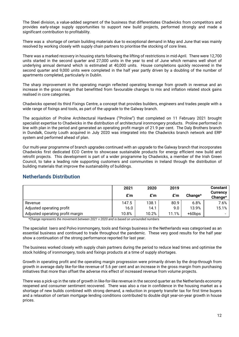The Steel division, a value-added segment of the business that differentiates Chadwicks from competitors and provides early-stage supply opportunities to support new build projects, performed strongly and made a significant contribution to profitability.

There was a shortage of certain building materials due to exceptional demand in May and June that was mainly resolved by working closely with supply chain partners to prioritise the stocking of core lines.

There was a marked recovery in housing starts following the lifting of restrictions in mid-April. There were 12,700 units started in the second quarter and 27,000 units in the year to end of June which remains well short of underlying annual demand which is estimated at 40,000 units. House completions quickly recovered in the second quarter and 9,000 units were completed in the half year partly driven by a doubling of the number of apartments completed, particularly in Dublin.

The sharp improvement in the operating margin reflected operating leverage from growth in revenue and an increase in the gross margin that benefitted from favourable changes to mix and inflation related stock gains realised in core categories.

Chadwicks opened its third Fixings Centre, a concept that provides builders, engineers and trades people with a wide range of fixings and tools, as part of the upgrade to the Galway branch.

The acquisition of Proline Architectural Hardware ("Proline") that completed on 11 February 2021 brought specialist expertise to Chadwicks in the distribution of architectural ironmongery products. Proline performed in line with plan in the period and generated an operating profit margin of 21.9 per cent. The Daly Brothers branch in Dundalk, County Louth acquired in July 2020 was integrated into the Chadwicks branch network and ERP system and performed ahead of plan.

Our multi-year programme of branch upgrades continued with an upgrade to the Galway branch that incorporates Chadwicks first dedicated ECO Centre to showcase sustainable products for energy efficient new build and retrofit projects. This development is part of a wider programme by Chadwicks, a member of the Irish Green Council, to take a leading role supporting customers and communities in Ireland through the distribution of building materials that improve the sustainability of buildings.

|                                  | 2021  | 2020  | 2019          |            | Constant  <br><b>Currency</b> |
|----------------------------------|-------|-------|---------------|------------|-------------------------------|
|                                  | £'m   | £'m   | £'n           | Change $*$ | Change*                       |
| Revenue                          | 147.5 | 138.1 | 80.9          | 6.8%       | 7.6%                          |
| Adjusted operating profit        | 16.0  | 14.1  | $9.0^{\circ}$ | 13.9%      | 15.1%                         |
| Adjusted operating profit margin | 10.8% | 10.2% | 11.1%         | $+60$ bps  |                               |

# **Netherlands Distribution**

*\*Change represents the movement between 2021 v 2020 and is based on unrounded numbers*

The specialist Isero and Polvo ironmongery, tools and fixings business in the Netherlands was categorised as an essential business and continued to trade throughout the pandemic. These very good results for the half year show a continuation of the strong performance reported for last year.

The business worked closely with supply chain partners during the period to reduce lead times and optimise the stock holding of ironmongery, tools and fixings products at a time of supply shortages.

Growth in operating profit and the operating margin progression were primarily driven by the drop-through from growth in average daily like-for-like revenue of 5.6 per cent and an increase in the gross margin from purchasing initiatives that more than offset the adverse mix effect of increased revenue from volume projects.

There was a pick-up in the rate of growth in like-for-like revenue in the second quarter as the Netherlands economy reopened and consumer sentiment recovered. There was also a rise in confidence in the housing market as a shortage of new builds combined with strong demand, a reduction in property transfer tax for first time buyers and a relaxation of certain mortgage lending conditions contributed to double digit year-on-year growth in house prices.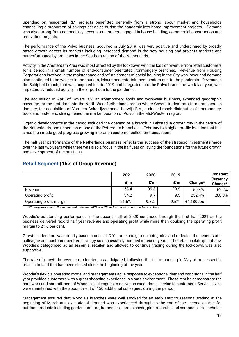Spending on residential RMI projects benefitted generally from a strong labour market and households channelling a proportion of savings set aside during the pandemic into home improvement projects. Demand was also strong from national key account customers engaged in house building, commercial construction and renovation projects.

The performance of the Polvo business, acquired in July 2019, was very positive and underpinned by broadly based growth across its markets including increased demand in the new housing and projects markets and outperformance by branches in the Southern region of the Netherlands.

Activity in the Amsterdam Area was most affected by the lockdown with the loss of revenue from retail customers for a period in a small number of end-consumer orientated ironmongery branches. Revenue from Housing Corporations involved in the maintenance and refurbishment of social housing in the City was lower and demand also continued to be weaker in the tourism, leisure and entertainment sectors due to the pandemic. Revenue in the Schiphol branch, that was acquired in late 2019 and integrated into the Polvo branch network last year, was impacted by reduced activity in the airport due to the pandemic.

The acquisition in April of Govers B.V, an ironmongery, tools and workwear business, expanded geographic coverage for the first time into the North West Netherlands region where Govers trades from four branches. In January, the acquisition of Van den Anker Ijzerhandel Katwijk B.V., a single branch distributor of ironmongery, tools and fasteners, strengthened the market position of Polvo in the Mid-Western region.

Organic developments in the period included the opening of a branch in Lelystad, a growth city in the centre of the Netherlands, and relocation of one of the Rotterdam branches in February to a higher profile location that has since then made good progress growing in-branch customer collection transactions.

The half year performance of the Netherlands business reflects the success of the strategic investments made over the last two years while there was also a focus in the half year on laying the foundations for the future growth and development of the business.

## **Retail Segment (15% of Group Revenue)**

|                         | 2021  | 2020 | 2019 |              | Constant  <br><b>Currency</b> |
|-------------------------|-------|------|------|--------------|-------------------------------|
|                         | £'n   | £'m  | £'m  | Change*      | Change*                       |
| Revenue                 | 158.4 | 99.3 | 99.9 | 59.4%        | 62.2%                         |
| Operating profit        | 34.2  | 9.7  | 9.5  | 252.4%       | 268.3%                        |
| Operating profit margin | 21.6% | 9.8% | 9.5% | $+1,180$ bps |                               |

*\*Change represents the movement between 2021 v 2020 and is based on unrounded numbers*

Woodie's outstanding performance in the second half of 2020 continued through the first half 2021 as the business delivered record half year revenue and operating profit while more than doubling the operating profit margin to 21.6 per cent.

Growth in demand was broadly based across all DIY, home and garden categories and reflected the benefits of a colleague and customer centred strategy so successfully pursued in recent years. The retail backdrop that saw Woodie's categorised as an essential retailer, and allowed to continue trading during the lockdown, was also supportive.

The rate of growth in revenue moderated, as anticipated, following the full re-opening in May of non-essential retail in Ireland that had been closed since the beginning of the year.

Woodie's flexible operating model and managements agile response to exceptional demand conditions in the half year provided customers with a great shopping experience in a safe environment. These results demonstrate the hard work and commitment of Woodie's colleagues to deliver an exceptional service to customers. Service levels were maintained with the appointment of 150 additional colleagues during the period.

Management ensured that Woodie's branches were well stocked for an early start to seasonal trading at the beginning of March and exceptional demand was experienced through to the end of the second quarter for outdoor products including garden furniture, barbeques, garden sheds, plants, shrubs and composts. Households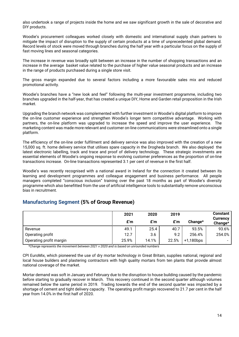also undertook a range of projects inside the home and we saw significant growth in the sale of decorative and DIY products.

Woodie's procurement colleagues worked closely with domestic and international supply chain partners to mitigate the impact of disruption to the supply of certain products at a time of unprecedented global demand. Record levels of stock were moved through branches during the half year with a particular focus on the supply of fast moving lines and seasonal categories.

The increase in revenue was broadly split between an increase in the number of shopping transactions and an increase in the average basket value related to the purchase of higher value seasonal products and an increase in the range of products purchased during a single store visit.

The gross margin expanded due to several factors including a more favourable sales mix and reduced promotional activity.

Woodie's branches have a "new look and feel" following the multi-year investment programme, including two branches upgraded in the half-year, that has created a unique DIY, Home and Garden retail proposition in the Irish market.

Upgrading the branch network was complemented with further investment in Woodie's digital platform to improve the on-line customer experience and strengthen Woodie's longer term competitive advantage. Working with partners, the on-line platform was upgraded to increase the speed and improve the user experience. The marketing content was made more relevant and customer on-line communications were streamlined onto a single platform.

The efficiency of the on-line order fulfilment and delivery service was also improved with the creation of a new 15,000 sq. ft. home delivery service that utilises spare capacity in the Drogheda branch. We also deployed the latest electronic labelling, track and trace and proof of delivery technology. These strategic investments are essential elements of Woodie's ongoing response to evolving customer preferences as the proportion of on-line transactions increase. On-line transactions represented 3.1 per cent of revenue in the first half.

Woodie's was recently recognised with a national award in Ireland for the connection it created between its learning and development programmes and colleague engagement and business performance. All people managers completed "conscious inclusion" training over the past 18 months as part of Woodie's diversity programme which also benefitted from the use of artificial intelligence tools to substantially remove unconscious bias in recruitment.

# **Manufacturing Segment (5% of Group Revenue)**

|                         | 2021  | 2020  | 2019  |              | <b>Constant</b>            |
|-------------------------|-------|-------|-------|--------------|----------------------------|
|                         | £'m   | £'m   | £'m   | Change*      | <b>Currency</b><br>Change* |
| Revenue                 | 49.1  | 25.4  | 40.7  | 93.5%        | 93.6%                      |
| Operating profit        | 12.7  | 3.6   | 9.2   | 256.4%       | 254.0%                     |
| Operating profit margin | 25.9% | 14.1% | 22.5% | $+1,180$ bps | $\blacksquare$             |

*\*Change represents the movement between 2021 v 2020 and is based on unrounded numbers*

CPI EuroMix, which pioneered the use of dry mortar technology in Great Britain, supplies national, regional and local house builders and plastering contractors with high quality mortars from ten plants that provide almost national coverage of the market.

Mortar demand was soft in January and February due to the disruption to house building caused by the pandemic before starting to gradually recover in March. This recovery continued in the second quarter although volumes remained below the same period in 2019. Trading towards the end of the second quarter was impacted by a shortage of cement and tight delivery capacity. The operating profit margin recovered to 21.7 per cent in the half year from 14.0% in the first half of 2020.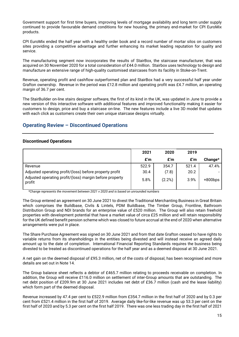Government support for first time buyers, improving levels of mortgage availability and long term under supply continued to provide favourable demand conditions for new housing, the primary end-market for CPI EuroMix products.

CPI EuroMix ended the half year with a healthy order book and a record number of mortar silos on customers sites providing a competitive advantage and further enhancing its market leading reputation for quality and service.

The manufacturing segment now incorporates the results of StairBox, the staircase manufacturer, that was acquired on 30 November 2020 for a total consideration of £44.0 million. Stairbox uses technology to design and manufacture an extensive range of high-quality customised staircases from its facility in Stoke-on-Trent.

Revenue, operating profit and cashflow outperformed plan and StairBox had a very successful half year under Grafton ownership. Revenue in the period was £12.8 million and operating profit was £4.7 million, an operating margin of 36.7 per cent.

The StairBuilder on-line stairs designer software, the first of its kind in the UK, was updated in June to provide a new version of this interactive software with additional features and improved functionality making it easier for customers to design, price and buy a staircase on-line. The new features include a live 3D model that updates with each click as customers create their own unique staircase designs virtually.

# **Operating Review – Discontinued Operations**

### **Discontinued Operations**

|                                                                   | 2021   | 2020           | 2019  |            |
|-------------------------------------------------------------------|--------|----------------|-------|------------|
|                                                                   | $f2$ m | f <sub>m</sub> | £'n   | Change*    |
| Revenue                                                           | 522.9  | 354.7          | 521.4 | 47.4%      |
| Adjusted operating profit/(loss) before property profit           | 30.4   | (7.8)          | 20.2  |            |
| Adjusted operating profit/(loss) margin before property<br>profit | 5.8%   | (2.2%)         | 3.9%  | $+800$ bps |
|                                                                   |        |                |       |            |

*\*Change represents the movement between 2021 v 2020 and is based on unrounded numbers*

The Group entered an agreement on 30 June 2021 to divest the Traditional Merchanting Business in Great Britain which comprises the Buildbase, Civils & Lintels, PDM Buildbase, The Timber Group, Frontline, Bathroom Distribution Group and NDI brands for an enterprise value of £520 million. The Group will also retain freehold properties with development potential that have a market value of circa £25 million and will retain responsibility for the UK defined benefit pension scheme which was closed to future accrual at the end of 2020 when alternative arrangements were put in place.

The Share Purchase Agreement was signed on 30 June 2021 and from that date Grafton ceased to have rights to variable returns from its shareholdings in the entities being divested and will instead receive an agreed daily amount up to the date of completion. International Financial Reporting Standards requires the business being divested to be treated as discontinued operations for the half year and as a deemed disposal at 30 June 2021.

A net gain on the deemed disposal of £95.3 million, net of the costs of disposal, has been recognised and more details are set out in Note 14.

The Group balance sheet reflects a debtor of £465.7 million relating to proceeds receivable on completion. In addition, the Group will receive £116.0 million on settlement of inter-Group amounts that are outstanding. The net debt position of £209.9m at 30 June 2021 includes net debt of £36.7 million (cash and the lease liability) which form part of the deemed disposal.

Revenue increased by 47.4 per cent to £522.9 million from £354.7 million in the first half of 2020 and by 0.3 per cent from £521.4 million in the first half of 2019. Average daily like-for-like revenue was up 53.3 per cent on the first half of 2020 and by 5.3 per cent on the first half 2019. There was one less trading day in the first half of 2021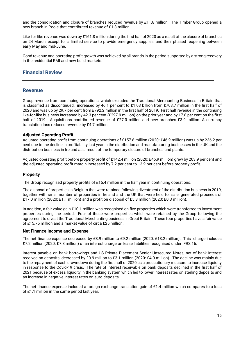and the consolidation and closure of branches reduced revenue by £11.8 million. The Timber Group opened a new branch in Poole that contributed revenue of £1.3 million.

Like-for-like revenue was down by £161.8 million during the first half of 2020 as a result of the closure of branches on 24 March, except for a limited service to provide emergency supplies, and their phased reopening between early May and mid-June.

Good revenue and operating profit growth was achieved by all brands in the period supported by a strong recovery in the residential RMI and new build markets.

# **Financial Review**

### **Revenue**

Group revenue from continuing operations, which excludes the Traditional Merchanting Business in Britain that is classified as discontinued, increased by 46.1 per cent to £1.03 billion from £703.7 million in the first half of 2020 and was up by 29.7 per cent from £792.2 million in the first half of 2019. First half revenue in the continuing like-for-like business increased by 42.3 per cent (£297.9 million) on the prior year and by 17.8 per cent on the first half of 2019. Acquisitions contributed revenue of £27.0 million and new branches £3.9 million. A currency translation loss reduced revenue by £4.7 million.

### **Adjusted Operating Profit**

Adjusted operating profit from continuing operations of £157.8 million (2020: £46.9 million) was up by 236.2 per cent due to the decline in profitability last year in the distribution and manufacturing businesses in the UK and the distribution business in Ireland as a result of the temporary closure of branches and plants.

Adjusted operating profit before property profit of £142.4 million (2020: £46.9 million) grew by 203.9 per cent and the adjusted operating profit margin increased by 7.2 per cent to 13.9 per cent before property profit.

### **Property**

The Group recognised property profits of £15.4 million in the half year in continuing operations.

The disposal of properties in Belgium that were retained following divestment of the distribution business in 2019, together with small number of properties in Ireland and the UK that were held for sale, generated proceeds of £17.0 million (2020: £1.1 million) and a profit on disposal of £5.3 million (2020: £0.3 million).

In addition, a fair value gain £10.1 million was recognised on five properties which were transferred to investment properties during the period. Four of these were properties which were retained by the Group following the agreement to divest the Traditional Merchanting business in Great Britain. These four properties have a fair value of £15.75 million and a market value of circa £25 million.

### **Net Finance Income and Expense**

The net finance expense decreased by £3.9 million to £9.2 million (2020: £13.2 million). This charge includes £7.2 million (2020: £7.8 million) of an interest charge on lease liabilities recognised under IFRS 16.

Interest payable on bank borrowings and US Private Placement Senior Unsecured Notes, net of bank interest received on deposits, decreased by £0.9 million to £3.1 million (2020: £4.0 million). The decline was mainly due to the repayment of cash drawndown during the first half of 2020 as a precautionary measure to increase liquidity in response to the Covid-19 crisis. The rate of interest receivable on bank deposits declined in the first half of 2021 because of excess liquidity in the banking system which led to lower interest rates on sterling deposits and an increase in negative interest rates on euro deposits.

The net finance expense included a foreign exchange translation gain of £1.4 million which compares to a loss of £1.1 million in the same period last year.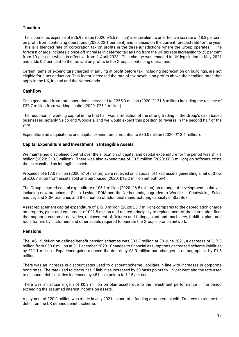### **Taxation**

The income tax expense of £26.9 million (2020: £6.5 million) is equivalent to an effective tax rate of 18.8 per cent on profit from continuing operations (2020: 22.1 per cent) and is based on the current forecast rate for the year. This is a blended rate of corporation tax on profits in the three jurisdictions where the Group operates. The forecast charge includes a once-off increase in deferred tax arising from the UK tax rate increasing to 25 per cent from 19 per cent which is effective from 1 April 2023. This change was enacted in UK legislation in May 2021 and adds 0.7 per cent to the tax rate on profits in the Group's continuing operations.

Certain items of expenditure charged in arriving at profit before tax, including depreciation on buildings, are not eligible for a tax deduction. This factor increased the rate of tax payable on profits above the headline rates that apply in the UK, Ireland and the Netherlands.

### **Cashflow**

Cash generated from total operations increased to £255.3 million (2020: £121.5 million) including the release of £37.7 million from working capital (2020: £25.1 million).

The reduction in working capital in the first half was a reflection of the strong trading in the Group's cash based businesses, notably Selco and Woodie's, and we would expect this position to reverse in the second half of the year.

Expenditure on acquisitions and capital expenditure amounted to £30.0 million (2020: £13.6 million).

### **Capital Expenditure and Investment in Intangible Assets**

We maintained disciplined control over the allocation of capital and capital expenditure for the period was £17.1 million (2020: £13.2 million). There was also expenditure of £0.5 million (2020: £0.3 million) on software costs that is classified as intangible assets.

Proceeds of £17.0 million (2020: £1.4 million) were received on disposal of fixed assets generating a net outflow of £0.6 million from assets sold and purchased (2020: £12.2 million net outflow).

The Group incurred capital expenditure of £5.1 million (2020: £6.5 million) on a range of development initiatives including new branches in Selco, Leyland SDM and the Netherlands, upgrades to Woodie's, Chadwicks, Selco and Leyland SDM branches and the creation of additional manufacturing capacity in StairBox.

Asset replacement capital expenditure of £12.0 million (2020: £6.7 million) compares to the depreciation charge on property, plant and equipment of £22.5 million and related principally to replacement of the distribution fleet that supports customer deliveries, replacement of fixtures and fittings, plant and machinery, forklifts, plant and tools for hire by customers and other assets required to operate the Group's branch network.

### **Pensions**

The IAS 19 deficit on defined benefit pension schemes was £33.3 million at 30 June 2021, a decrease of £17.3 million from £50.6 million at 31 December 2020. Changes to financial assumptions decreased scheme liabilities by £11.1 million. Experience gains reduced the deficit by £3.0 million and changes in demographics by £1.6 million.

There was an increase in discount rates used to discount scheme liabilities in line with increases in corporate bond rates. The rate used to discount UK liabilities increased by 50 basis points to 1.9 per cent and the rate used to discount Irish liabilities increased by 45 basis points to 1.15 per cent.

There was an actuarial gain of £0.9 million on plan assets due to the investment performance in the period exceeding the assumed interest income on assets.

A payment of £20.0 million was made in July 2021 as part of a funding arrangement with Trustees to reduce the deficit on the UK defined benefit scheme.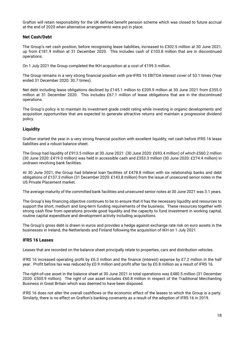Grafton will retain responsibility for the UK defined benefit pension scheme which was closed to future accrual at the end of 2020 when alternative arrangements were put in place.

### **Net Cash/Debt**

The Group's net cash position, before recognising lease liabilities, increased to £302.5 million at 30 June 2021, up from £181.9 million at 31 December 2020. This includes cash of £103.8 million that are in discontinued operations.

On 1 July 2021 the Group completed the IKH acquisition at a cost of €199.3 million.

The Group remains in a very strong financial position with pre-IFRS 16 EBITDA interest cover of 53.1 times (Year ended 31 December 2020: 30.7 times).

Net debt including lease obligations declined by £145.1 million to £209.9 million at 30 June 2021 from £355.0 million at 31 December 2020. This includes £67.1 million of lease obligations that are in the discontinued operations.

The Group's policy is to maintain its investment grade credit rating while investing in organic developments and acquisition opportunities that are expected to generate attractive returns and maintain a progressive dividend policy.

### **Liquidity**

Grafton started the year in a very strong financial position with excellent liquidity, net cash before IFRS 16 lease liabilities and a robust balance sheet.

The Group had liquidity of £913.5 million at 30 June 2021 (30 June 2020: £693.4 million) of which £560.2 million (30 June 2020: £419.0 million) was held in accessible cash and £353.3 million (30 June 2020: £274.4 million) in undrawn revolving bank facilities.

At 30 June 2021, the Group had bilateral loan facilities of £478.8 million with six relationship banks and debt obligations of £137.3 million (31 December 2020: £143.8 million) from the issue of unsecured senior notes in the US Private Placement market.

The average maturity of the committed bank facilities and unsecured senior notes at 30 June 2021 was 3.1 years.

The Group's key financing objective continues to be to ensure that it has the necessary liquidity and resources to support the short, medium and long-term funding requirements of the business. These resources together with strong cash flow from operations provide good liquidity and the capacity to fund investment in working capital, routine capital expenditure and development activity including acquisitions.

The Group's gross debt is drawn in euros and provides a hedge against exchange rate risk on euro assets in the businesses in Ireland, the Netherlands and Finland following the acquisition of IKH on 1 July 2021.

### **IFRS 16 Leases**

Leases that are recorded on the balance sheet principally relate to properties, cars and distribution vehicles.

IFRS 16 increased operating profit by £6.3 million and the finance (interest) expense by £7.2 million in the half year. Profit before tax was reduced by £0.9 million and profit after tax by £0.8 million as a result of IFRS 16.

The right-of-use asset in the balance sheet at 30 June 2021 in total operations was £480.5 million (31 December 2020: £505.9 million). The right of use asset includes £60.8 million in respect of the Traditional Merchanting Business in Great Britain which was deemed to have been disposed.

IFRS 16 does not alter the overall cashflows or the economic effect of the leases to which the Group is a party. Similarly, there is no effect on Grafton's banking covenants as a result of the adoption of IFRS 16 in 2019.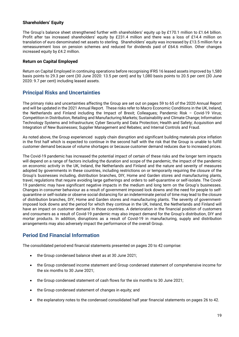### **Shareholders' Equity**

The Group's balance sheet strengthened further with shareholders' equity up by £170.1 million to £1.64 billion. Profit after tax increased shareholders' equity by £231.4 million and there was a loss of £14.4 million on translation of euro denominated net assets to sterling. Shareholders' equity was increased by £13.5 million for a remeasurement loss on pension schemes and reduced for dividends paid of £64.6 million. Other changes increased equity by £4.2 million.

### **Return on Capital Employed**

Return on Capital Employed in continuing operations before recognising IFRS 16 leased assets improved by 1,580 basis points to 29.3 per cent (30 June 2020: 13.5 per cent) and by 1,080 basis points to 20.5 per cent (30 June 2020: 9.7 per cent) including leased assets.

# **Principal Risks and Uncertainties**

The primary risks and uncertainties affecting the Group are set out on pages 59 to 65 of the 2020 Annual Report and will be updated in the 2021 Annual Report. These risks refer to Macro Economic Conditions in the UK, Ireland, the Netherlands and Finland including the Impact of Brexit; Colleagues; Pandemic Risk – Covid-19 Virus; Competition in Distribution, Retailing and Manufacturing Markets; Sustainability and Climate Change; Information Technology Systems and Infrastructure; Cyber Security and Data Protection; Health and Safety; Acquisition and Integration of New Businesses; Supplier Management and Rebates; and Internal Controls and Fraud.

As noted above, the Group experienced supply chain disruption and significant building materials price inflation in the first half which is expected to continue in the second half with the risk that the Group is unable to fulfill customer demand because of volume shortages or because customer demand reduces due to increased prices.

The Covid-19 pandemic has increased the potential impact of certain of these risks and the longer term impacts will depend on a range of factors including the duration and scope of the pandemic, the impact of the pandemic on economic activity in the UK, Ireland, the Netherlands and Finland and the nature and severity of measures adopted by governments in these countries, including restrictions on or temporarily requiring the closure of the Group's businesses including, distribution branches, DIY, Home and Garden stores and manufacturing plants, travel, regulations that require avoiding large gatherings and orders to self-quarantine or self-isolate. The Covid-19 pandemic may have significant negative impacts in the medium and long term on the Group's businesses. Changes in consumer behaviour as a result of government imposed lock downs and the need for people to selfquarantine or self-isolate or observe social distancing for an indeterminate period of time may lead to the closure of distribution branches, DIY, Home and Garden stores and manufacturing plants. The severity of governmentimposed lock downs and the period for which they continue in the UK, Ireland, the Netherlands and Finland will have an impact on customer demand in those countries. A deterioration in the financial position of customers and consumers as a result of Covid-19 pandemic may also impact demand for the Group's distribution, DIY and mortar products. In addition, disruptions as a result of Covid-19 in manufacturing, supply and distribution arrangements may also adversely impact the performance of the overall Group.

# **Period End Financial Information**

The consolidated period-end financial statements presented on pages 20 to 42 comprise:

- the Group condensed balance sheet as at 30 June 2021;
- the Group condensed income statement and Group condensed statement of comprehensive income for the six months to 30 June 2021;
- the Group condensed statement of cash flows for the six months to 30 June 2021;
- the Group condensed statement of changes in equity; and
- the explanatory notes to the condensed consolidated half year financial statements on pages 26 to 42.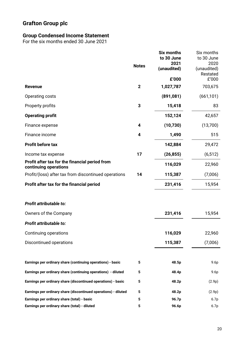# **Grafton Group plc**

# **Group Condensed Income Statement**

For the six months ended 30 June 2021

|                                                                         | <b>Notes</b> | <b>Six months</b><br>to 30 June<br>2021<br>(unaudited)<br>£'000 | Six months<br>to 30 June<br>2020<br>(unaudited)<br>Restated<br>£'000 |
|-------------------------------------------------------------------------|--------------|-----------------------------------------------------------------|----------------------------------------------------------------------|
| <b>Revenue</b>                                                          | $\mathbf 2$  | 1,027,787                                                       | 703,675                                                              |
| Operating costs                                                         |              | (891,081)                                                       | (661, 101)                                                           |
| Property profits                                                        | 3            | 15,418                                                          | 83                                                                   |
| <b>Operating profit</b>                                                 |              | 152,124                                                         | 42,657                                                               |
| Finance expense                                                         | 4            | (10, 730)                                                       | (13,700)                                                             |
| Finance income                                                          | 4            | 1,490                                                           | 515                                                                  |
| <b>Profit before tax</b>                                                |              | 142,884                                                         | 29,472                                                               |
| Income tax expense                                                      | 17           | (26, 855)                                                       | (6, 512)                                                             |
| Profit after tax for the financial period from<br>continuing operations |              | 116,029                                                         | 22,960                                                               |
| Profit/(loss) after tax from discontinued operations                    | 14           | 115,387                                                         | (7,006)                                                              |
| Profit after tax for the financial period                               |              | 231,416                                                         | 15,954                                                               |
| <b>Profit attributable to:</b>                                          |              |                                                                 |                                                                      |
| Owners of the Company                                                   |              | 231,416                                                         | 15,954                                                               |
| <b>Profit attributable to:</b>                                          |              |                                                                 |                                                                      |
| <b>Continuing operations</b>                                            |              | 116,029                                                         | 22,960                                                               |
| Discontinued operations                                                 |              | 115,387                                                         | (7,006)                                                              |
|                                                                         |              |                                                                 |                                                                      |
| Earnings per ordinary share (continuing operations) - basic             | 5            | 48.5p                                                           | 9.6p                                                                 |
| Earnings per ordinary share (continuing operations) - diluted           | 5            | 48.4p                                                           | 9.6p                                                                 |
| Earnings per ordinary share (discontinued operations) - basic           | 5            | 48.2p                                                           | (2.9p)                                                               |
| Earnings per ordinary share (discontinued operations) - diluted         | 5            | 48.2p                                                           | (2.9p)                                                               |
| Earnings per ordinary share (total) - basic                             | 5            | 96.7p                                                           | 6.7p                                                                 |
| Earnings per ordinary share (total) - diluted                           | 5            | 96.6p                                                           | 6.7p                                                                 |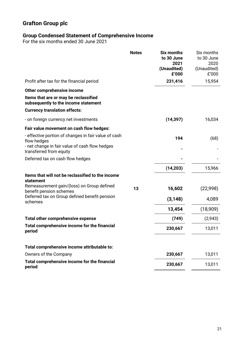# **Grafton Group plc**

# **Group Condensed Statement of Comprehensive Income**

For the six months ended 30 June 2021

|                                                                                                                                                  | <b>Notes</b> | <b>Six months</b><br>to 30 June<br>2021<br>(Unaudited)<br>£'000 | Six months<br>to 30 June<br>2020<br>(Unaudited)<br>£'000 |
|--------------------------------------------------------------------------------------------------------------------------------------------------|--------------|-----------------------------------------------------------------|----------------------------------------------------------|
| Profit after tax for the financial period                                                                                                        |              | 231,416                                                         | 15,954                                                   |
| Other comprehensive income                                                                                                                       |              |                                                                 |                                                          |
| Items that are or may be reclassified<br>subsequently to the income statement                                                                    |              |                                                                 |                                                          |
| <b>Currency translation effects:</b>                                                                                                             |              |                                                                 |                                                          |
| - on foreign currency net investments                                                                                                            |              | (14, 397)                                                       | 16,034                                                   |
| Fair value movement on cash flow hedges:                                                                                                         |              |                                                                 |                                                          |
| - effective portion of changes in fair value of cash<br>flow hedges<br>- net change in fair value of cash flow hedges<br>transferred from equity |              | 194                                                             | (68)                                                     |
| Deferred tax on cash flow hedges                                                                                                                 |              |                                                                 |                                                          |
|                                                                                                                                                  |              | (14, 203)                                                       | 15,966                                                   |
| Items that will not be reclassified to the income<br>statement                                                                                   |              |                                                                 |                                                          |
| Remeasurement gain/(loss) on Group defined<br>benefit pension schemes                                                                            | 13           | 16,602                                                          | (22,998)                                                 |
| Deferred tax on Group defined benefit pension<br>schemes                                                                                         |              | (3, 148)                                                        | 4,089                                                    |
|                                                                                                                                                  |              | 13,454                                                          | (18,909)                                                 |
| Total other comprehensive expense                                                                                                                |              | (749)                                                           | (2,943)                                                  |
| Total comprehensive income for the financial<br>period                                                                                           |              | 230,667                                                         | 13,011                                                   |
| Total comprehensive income attributable to:                                                                                                      |              |                                                                 |                                                          |
| Owners of the Company                                                                                                                            |              | 230,667                                                         | 13,011                                                   |
| Total comprehensive income for the financial<br>period                                                                                           |              | 230,667                                                         | 13,011                                                   |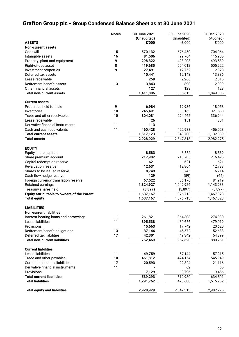# **Grafton Group plc - Group Condensed Balance Sheet as at 30 June 2021**

|                                                            | <b>Notes</b> | 30 June 2021       | 30 June 2020       | 31 Dec 2020        |
|------------------------------------------------------------|--------------|--------------------|--------------------|--------------------|
|                                                            |              | (Unaudited)        | (Unaudited)        | (Audited)          |
| <b>ASSETS</b>                                              |              | £'000              | £'000              | £'000              |
| <b>Non-current assets</b><br>Goodwill                      | 15           | 570,132            | 676,450            | 704,064            |
| Intangible assets                                          | 16           | 81,506             | 99,764             | 115,905            |
| Property, plant and equipment                              | 9            | 298,322            | 498,208            | 493,539            |
| Right-of-use asset                                         | 8            | 419,685            | 504,012            | 505,922            |
| Investment properties                                      | 9            | 27,491             | 12,752             | 12,328             |
| Deferred tax assets                                        |              | 10,441             | 12,143             | 13,386             |
| Lease receivable                                           |              | 259                | 2,266              | 2,015              |
| Retirement benefit assets                                  | 13           | 3,843              | 890                | 2,099              |
| Other financial assets                                     |              | 127                | 128                | 128                |
| <b>Total non-current assets</b>                            |              | 1,411,806          | 1,806,613          | 1,849,386          |
|                                                            |              |                    |                    |                    |
| <b>Current assets</b>                                      |              |                    |                    |                    |
| Properties held for sale                                   | 9            | 6,984              | 19,936             | 18,058             |
| Inventories                                                | 10           | 245,491            | 303,163            | 321,558            |
| Trade and other receivables                                | 10           | 804,081            | 294,462            | 336,944            |
| Lease receivable                                           |              | 26                 | 151                | 301                |
| Derivative financial instruments                           | 11           | 113                |                    |                    |
| Cash and cash equivalents                                  | 11           | 460,428            | 422,988            | 456,028            |
| <b>Total current assets</b>                                |              | 1,517,123          | 1,040,700          | 1,132,889          |
| <b>Total assets</b>                                        |              | 2,928,929          | 2,847,313          | 2,982,275          |
| <b>EQUITY</b>                                              |              |                    |                    |                    |
| Equity share capital                                       |              | 8,583              | 8,552              | 8,569              |
| Share premium account                                      |              | 217,902            | 213,785            | 216,496            |
| Capital redemption reserve                                 |              | 621                | 621                | 621                |
| <b>Revaluation reserve</b>                                 |              | 12,631             | 12,864             | 12,733             |
| Shares to be issued reserve                                |              | 8,749              | 8,745              | 6,714              |
| Cash flow hedge reserve                                    |              | 129                | (59)               | (65)               |
| Foreign currency translation reserve                       |              | 67,522             | 86,176             | 81,919             |
| Retained earnings                                          |              | 1,324,927          | 1,049,926          | 1,143,933          |
| Treasury shares held                                       |              | (3,897)            | (3,897)            | (3,897)            |
| Equity attributable to owners of the Parent                |              | 1,637,167          | 1,376,713          | 1,467,023          |
| <b>Total equity</b>                                        |              | 1,637,167          | 1,376,713          | 1,467,023          |
|                                                            |              |                    |                    |                    |
| <b>LIABILITIES</b>                                         |              |                    |                    |                    |
| <b>Non-current liabilities</b>                             |              |                    |                    |                    |
| Interest-bearing loans and borrowings<br>Lease liabilities | 11<br>11     | 261,821<br>395,538 | 364,308<br>480,656 | 274,030<br>479,019 |
| Provisions                                                 |              | 15,663             | 17,742             | 20,620             |
| Retirement benefit obligations                             | 13           | 37,146             | 45,572             | 52,683             |
| Deferred tax liabilities                                   | 17           | 42,301             | 49,342             | 54,399             |
| <b>Total non-current liabilities</b>                       |              | 752,469            | 957,620            | 880,751            |
|                                                            |              |                    |                    |                    |
| <b>Current liabilities</b>                                 |              |                    |                    |                    |
| Lease liabilities                                          | 11           | 49,759             | 57,144             | 57,915             |
| Trade and other payables                                   | 10           | 461,812            | 424,154            | 545,949            |
| Current income tax liabilities                             | 17           | 20,593             | 22,824             | 21,116             |
| Derivative financial instruments                           | 11           |                    | 62                 | 65                 |
| Provisions                                                 |              | 7,129              | 8,796              | 9,456              |
| <b>Total current liabilities</b>                           |              | 539,293            | 512,980            | 634,501            |
| <b>Total liabilities</b>                                   |              | 1,291,762          | 1,470,600          | 1,515,252          |
| <b>Total equity and liabilities</b>                        |              | 2,928,929          | 2,847,313          | 2,982,275          |
|                                                            |              |                    |                    |                    |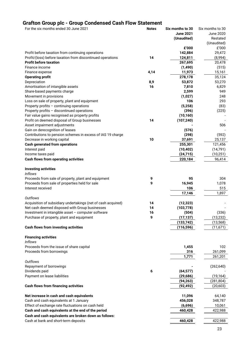# **Grafton Group plc - Group Condensed Cash Flow Statement**

| For the six months ended 30 June 2021                                                                | <b>Notes</b> | Six months to 30 | Six months to 30 |
|------------------------------------------------------------------------------------------------------|--------------|------------------|------------------|
|                                                                                                      |              | <b>June 2021</b> | June 2020        |
|                                                                                                      |              | (Unaudited)      | Restated         |
|                                                                                                      |              |                  | (Unaudited)      |
|                                                                                                      |              | £'000            | £'000            |
| Profit before taxation from continuing operations                                                    |              | 142,884          | 29,472           |
| Profit/(loss) before taxation from discontinued operations                                           | 14           | 124,811          | (8,994)          |
| <b>Profit before taxation</b>                                                                        |              | 267,695          | 20,478           |
| Finance income                                                                                       |              | (1, 490)         | (515)            |
| Finance expense                                                                                      | 4,14         | 11,973           | 15,161           |
| <b>Operating profit</b>                                                                              |              | 278,178          | 35,124           |
| Depreciation                                                                                         | 8,9          | 53,872           | 53,270           |
| Amortisation of intangible assets                                                                    | 16           | 7,810            | 6,829            |
| Share-based payments charge                                                                          |              | 2,599            | 949              |
| Movement in provisions                                                                               |              | (1,027)          | 248              |
| Loss on sale of property, plant and equipment                                                        |              | 106              | 293              |
| Property profits - continuing operations                                                             |              | (5, 258)         | (83)             |
| Property profits - discontinued operations                                                           |              | (396)            | (225)            |
| Fair value gains recognised as property profits                                                      |              | (10, 160)        |                  |
| Profit on deemed disposal of Group businesses                                                        | 14           | (107, 240)       |                  |
| Asset impairment adjustments                                                                         |              |                  | 506              |
| Gain on derecognition of leases                                                                      |              | (576)            |                  |
| Contributions to pension schemes in excess of IAS 19 charge                                          |              | (298)            | (592)            |
| Decrease in working capital                                                                          | 10           | 37,691           | 25,137           |
| <b>Cash generated from operations</b>                                                                |              | 255,301          | 121,456          |
| Interest paid                                                                                        |              | (10, 402)        | (14, 791)        |
| Income taxes paid                                                                                    |              | (24, 715)        | (10, 251)        |
| <b>Cash flows from operating activities</b>                                                          |              | 220,184          | 96,414           |
| <b>Investing activities</b><br><b>Inflows</b><br>Proceeds from sale of property, plant and equipment | 9            | 95               | 304              |
| Proceeds from sale of properties held for sale                                                       | 9            | 16,945           | 1,078            |
| Interest received                                                                                    |              | 106              | 515              |
|                                                                                                      |              | 17,146           | 1,897            |
| <b>Outflows</b>                                                                                      |              |                  |                  |
| Acquisition of subsidiary undertakings (net of cash acquired)                                        | 14           | (12, 323)        |                  |
| Net cash deemed disposed with Group businesses                                                       | 14           | (103,778)        |                  |
| Investment in intangible asset - computer software                                                   | 16           | (504)            | (336)            |
| Purchase of property, plant and equipment                                                            | 9            | (17, 137)        | (13, 232)        |
|                                                                                                      |              | (133, 742)       | (13, 568)        |
| Cash flows from investing activities                                                                 |              | (116, 596)       | (11, 671)        |
|                                                                                                      |              |                  |                  |
| <b>Financing activities</b><br><b>Inflows</b>                                                        |              |                  |                  |
| Proceeds from the issue of share capital                                                             |              | 1,455            | 102              |
| Proceeds from borrowings                                                                             |              | 316              | 261,099          |
|                                                                                                      |              | 1,771            | 261,201          |
| <b>Outflows</b>                                                                                      |              |                  |                  |
| Repayment of borrowings                                                                              |              |                  | (262, 640)       |
| Dividends paid                                                                                       | 6            | (64, 577)        |                  |
| Payment on lease liabilities                                                                         |              | (29, 686)        | (19, 164)        |
|                                                                                                      |              | (94, 263)        | (281,804)        |
| <b>Cash flows from financing activities</b>                                                          |              | (92,492)         | (20, 603)        |
|                                                                                                      |              |                  |                  |
| Net increase in cash and cash equivalents                                                            |              | 11,096           | 64,140           |
| Cash and cash equivalents at 1 January                                                               |              | 456,028          | 348,787          |
| Effect of exchange rate fluctuations on cash held                                                    |              | (6,696)          | 10,061           |
| Cash and cash equivalents at the end of the period                                                   |              | 460,428          | 422,988          |
| Cash and cash equivalents are broken down as follows:                                                |              |                  |                  |
| Cash at bank and short-term deposits                                                                 |              | 460,428          | 422,988          |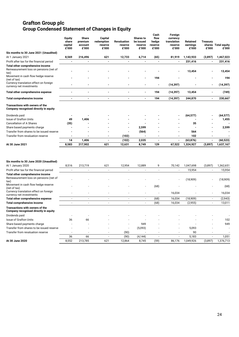# **Grafton Group plc Group Condensed Statement of Changes in Equity**

|                                                                                           | <b>Equity</b><br>share<br>capital<br>£'000 | <b>Share</b><br>premium<br>account<br>£'000 | Capital<br>redemption<br>reserve<br>£'000 | <b>Revaluation</b><br>reserve<br>£'000 | <b>Shares to</b><br>be issued<br>reserve<br>£'000 | Cash<br>flow<br>hedge<br>reserve<br>£'000 | Foreign<br>currency<br>translation<br>reserve<br>£'000 | <b>Retained</b><br>earnings<br>£'000 | <b>Treasury</b><br>£'000 | shares Total equity<br>£'000 |
|-------------------------------------------------------------------------------------------|--------------------------------------------|---------------------------------------------|-------------------------------------------|----------------------------------------|---------------------------------------------------|-------------------------------------------|--------------------------------------------------------|--------------------------------------|--------------------------|------------------------------|
| Six months to 30 June 2021 (Unaudited)                                                    |                                            |                                             |                                           |                                        |                                                   |                                           |                                                        |                                      |                          |                              |
| At 1 January 2021                                                                         | 8,569                                      | 216,496                                     | 621                                       | 12,733                                 | 6,714                                             | (65)                                      | 81,919                                                 | 1,143,933                            | (3,897)                  | 1,467,023                    |
| Profit after tax for the financial period                                                 | $\overline{\phantom{a}}$                   |                                             | $\blacksquare$                            |                                        |                                                   | $\blacksquare$                            |                                                        | 231,416                              |                          | 231,416                      |
| <b>Total other comprehensive income</b><br>Remeasurement loss on pensions (net of<br>tax) |                                            |                                             |                                           |                                        |                                                   |                                           |                                                        | 13,454                               |                          | 13,454                       |
| Movement in cash flow hedge reserve<br>(net of tax)                                       |                                            |                                             |                                           |                                        |                                                   | 194                                       |                                                        |                                      |                          | 194                          |
| Currency translation effect on foreign<br>currency net investments                        |                                            |                                             |                                           |                                        |                                                   |                                           | (14, 397)                                              |                                      |                          | (14, 397)                    |
| Total other comprehensive expense                                                         |                                            |                                             | ÷                                         | ÷.                                     | ä,                                                | 194                                       | (14, 397)                                              | 13,454                               |                          | (749)                        |
| <b>Total comprehensive income</b>                                                         | $\overline{a}$                             | ä,                                          | $\blacksquare$                            | $\overline{a}$                         | $\blacksquare$                                    | 194                                       | (14, 397)                                              | 244,870                              | ä,                       | 230,667                      |
| <b>Transactions with owners of the</b><br>Company recognised directly in equity           |                                            |                                             |                                           |                                        |                                                   |                                           |                                                        |                                      |                          |                              |
| Dividends paid                                                                            |                                            |                                             |                                           |                                        |                                                   |                                           |                                                        | (64, 577)                            |                          | (64, 577)                    |
| <b>Issue of Grafton Units</b>                                                             | 49                                         | 1,406                                       |                                           |                                        |                                                   |                                           |                                                        |                                      |                          | 1,455                        |
| Cancellation of A Shares                                                                  | (35)                                       |                                             |                                           |                                        |                                                   |                                           |                                                        | 35                                   |                          |                              |
| Share based payments charge                                                               |                                            |                                             |                                           |                                        | 2,599                                             |                                           |                                                        |                                      |                          | 2,599                        |
| Transfer from shares to be issued reserve                                                 |                                            |                                             |                                           |                                        | (564)                                             |                                           |                                                        | 564                                  |                          |                              |
| Transfer from revaluation reserve                                                         | $\blacksquare$                             | $\blacksquare$                              | ٠                                         | (102)                                  |                                                   | $\blacksquare$                            | $\blacksquare$                                         | 102                                  |                          |                              |
|                                                                                           | 14                                         | 1,406                                       | $\tilde{\phantom{a}}$                     | (102)                                  | 2,035                                             | $\sim$                                    | $\overline{a}$                                         | (63, 876)                            | ä,                       | (60, 523)                    |
| At 30 June 2021                                                                           | 8,583                                      | 217,902                                     | 621                                       | 12,631                                 | 8,749                                             | 129                                       | 67,522                                                 | 1,324,927                            | (3, 897)                 | 1,637,167                    |
| Six months to 30 June 2020 (Unaudited)                                                    |                                            |                                             |                                           |                                        |                                                   |                                           |                                                        |                                      |                          |                              |
| At 1 January 2020                                                                         | 8,516                                      | 213,719                                     | 621                                       | 12,954                                 | 12,889                                            | 9                                         | 70,142                                                 | 1,047,698                            | (3,897)                  | 1,362,651                    |
| Profit after tax for the financial period                                                 | $\overline{a}$                             |                                             | $\overline{a}$                            |                                        | $\overline{a}$                                    | $\overline{a}$                            |                                                        | 15,954                               |                          | 15,954                       |
| Total other comprehensive income<br>Remeasurement loss on pensions (net of<br>tax)        |                                            |                                             |                                           |                                        |                                                   |                                           |                                                        | (18,909)                             |                          | (18,909)                     |
| Movement in cash flow hedge reserve<br>(net of tax)                                       |                                            |                                             |                                           |                                        |                                                   | (68)                                      |                                                        |                                      |                          | (68)                         |
| Currency translation effect on foreign<br>currency net investments                        |                                            |                                             |                                           |                                        |                                                   | L,                                        | 16,034                                                 |                                      |                          | 16,034                       |
| Total other comprehensive expense                                                         | $\overline{a}$                             | $\overline{a}$                              | $\overline{a}$                            | $\overline{a}$                         | $\overline{a}$                                    | (68)                                      | 16,034                                                 | (18,909)                             |                          | (2, 943)                     |
| <b>Total comprehensive income</b>                                                         | $\sim$                                     | $\overline{\phantom{a}}$                    | $\sim$                                    | $\sim$                                 | $\sim$                                            | (68)                                      | 16,034                                                 | (2,955)                              | $\blacksquare$           | 13,011                       |
| Transactions with owners of the<br>Company recognised directly in equity                  |                                            |                                             |                                           |                                        |                                                   |                                           |                                                        |                                      |                          |                              |
| Dividends paid                                                                            |                                            |                                             |                                           |                                        |                                                   |                                           |                                                        |                                      |                          |                              |
| <b>Issue of Grafton Units</b>                                                             | 36                                         | 66                                          |                                           |                                        |                                                   |                                           |                                                        |                                      |                          | 102                          |
| Share based payments charge                                                               |                                            |                                             |                                           |                                        | 949                                               |                                           |                                                        |                                      |                          | 949                          |
| Transfer from shares to be issued reserve                                                 |                                            |                                             |                                           | L,                                     | (5,093)                                           |                                           |                                                        | 5,093                                |                          |                              |
| Transfer from revaluation reserve                                                         |                                            |                                             |                                           | (90)                                   |                                                   |                                           |                                                        | 90                                   |                          |                              |
|                                                                                           | 36                                         | 66                                          | $\overline{a}$                            | (90)                                   | (4, 144)                                          | $\overline{a}$                            | $\overline{a}$                                         | 5,183                                | $\overline{\phantom{a}}$ | 1,051                        |
| At 30 June 2020                                                                           | 8,552                                      | 213,785                                     | 621                                       | 12,864                                 | 8,745                                             | (59)                                      | 86,176                                                 | 1,049,926                            | (3,897)                  | 1,376,713                    |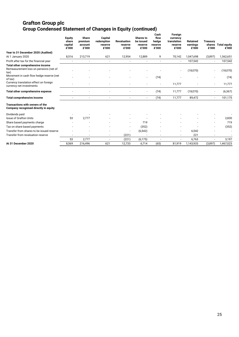# **Grafton Group plc Group Condensed Statement of Changes in Equity (continued)**

|                                                                                    | <b>Equity</b><br>share<br>capital<br>£'000 | <b>Share</b><br>premium<br>account<br>£'000 | <b>Capital</b><br>redemption<br>reserve<br>£'000 | <b>Revaluation</b><br>reserve<br>£'000 | <b>Shares to</b><br>be issued<br>reserve<br>£'000 | Cash<br>flow<br>hedge<br>reserve<br>£'000 | Foreign<br>currency<br>translation<br>reserve<br>£'000 | <b>Retained</b><br>earnings<br>£'000 | <b>Treasury</b><br>shares<br>£'000 | <b>Total equity</b><br>£'000 |
|------------------------------------------------------------------------------------|--------------------------------------------|---------------------------------------------|--------------------------------------------------|----------------------------------------|---------------------------------------------------|-------------------------------------------|--------------------------------------------------------|--------------------------------------|------------------------------------|------------------------------|
| Year to 31 December 2020 (Audited)                                                 |                                            |                                             |                                                  |                                        |                                                   |                                           |                                                        |                                      |                                    |                              |
| At 1 January 2020                                                                  | 8,516                                      | 213,719                                     | 621                                              | 12,954                                 | 12,889                                            | 9                                         | 70,142                                                 | 1,047,698                            | (3,897)                            | 1,362,651                    |
| Profit after tax for the financial year                                            | $\blacksquare$                             | $\overline{\phantom{a}}$                    | $\overline{\phantom{a}}$                         | $\overline{\phantom{a}}$               | $\overline{\phantom{a}}$                          | $\overline{\phantom{a}}$                  |                                                        | 107,542                              |                                    | 107,542                      |
| Total other comprehensive income<br>Remeasurement loss on pensions (net of<br>tax) |                                            |                                             |                                                  |                                        |                                                   |                                           |                                                        | (18,070)                             |                                    | (18,070)                     |
| Movement in cash flow hedge reserve (net<br>of tax)                                |                                            |                                             |                                                  |                                        | $\overline{\phantom{a}}$                          | (74)                                      |                                                        |                                      |                                    | (74)                         |
| Currency translation effect on foreign<br>currency net investments                 |                                            |                                             |                                                  |                                        |                                                   |                                           | 11,777                                                 |                                      |                                    | 11,777                       |
| Total other comprehensive expense                                                  |                                            |                                             |                                                  |                                        | $\overline{a}$                                    | (74)                                      | 11,777                                                 | (18,070)                             |                                    | (6, 367)                     |
| <b>Total comprehensive income</b>                                                  |                                            | $\overline{\phantom{a}}$                    | $\overline{a}$                                   | $\overline{\phantom{a}}$               | $\overline{\phantom{a}}$                          | (74)                                      | 11,777                                                 | 89.472                               |                                    | 101,175                      |
| Transactions with owners of the<br>Company recognised directly in equity           |                                            |                                             |                                                  |                                        |                                                   |                                           |                                                        |                                      |                                    |                              |
| Dividends paid                                                                     |                                            |                                             |                                                  |                                        |                                                   |                                           |                                                        |                                      |                                    |                              |
| <b>Issue of Grafton Units</b>                                                      | 53                                         | 2,777                                       |                                                  |                                        |                                                   |                                           |                                                        |                                      |                                    | 2,830                        |
| Share based payments charge                                                        |                                            |                                             |                                                  |                                        | 719                                               |                                           |                                                        |                                      |                                    | 719                          |
| Tax on share based payments                                                        |                                            |                                             |                                                  | $\overline{\phantom{a}}$               | (352)                                             |                                           |                                                        |                                      |                                    | (352)                        |
| Transfer from shares to be issued reserve                                          |                                            |                                             |                                                  |                                        | (6, 542)                                          |                                           |                                                        | 6,542                                |                                    |                              |
| Transfer from revaluation reserve                                                  |                                            |                                             | $\overline{\phantom{a}}$                         | (221)                                  |                                                   |                                           |                                                        | 221                                  |                                    |                              |
|                                                                                    | 53                                         | 2,777                                       | $\overline{\phantom{a}}$                         | (221)                                  | (6, 175)                                          |                                           |                                                        | 6,763                                |                                    | 3,197                        |
| At 31 December 2020                                                                | 8,569                                      | 216,496                                     | 621                                              | 12,733                                 | 6,714                                             | (65)                                      | 81,919                                                 | 1,143,933                            | (3,897)                            | 1,467,023                    |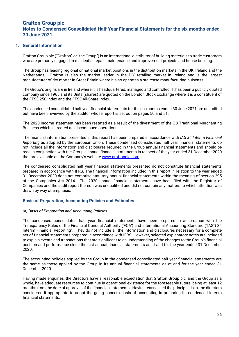## **Grafton Group plc Notes to Condensed Consolidated Half Year Financial Statements for the six months ended 30 June 2021**

### **1. General Information**

Grafton Group plc ("Grafton" or "the Group") is an international distributor of building materials to trade customers who are primarily engaged in residential repair, maintenance and improvement projects and house building.

The Group has leading regional or national market positions in the distribution markets in the UK, Ireland and the Netherlands. Grafton is also the market leader in the DIY retailing market in Ireland and is the largest manufacturer of dry mortar in Great Britain where it also operates a staircase manufacturing buisenss.

The Group's origins are in Ireland where it is headquartered, managed and controlled. It has been a publicly quoted company since 1965 and its Units (shares) are quoted on the London Stock Exchange where it is a constituent of the FTSE 250 Index and the FTSE All-Share Index.

The condensed consolidated half year financial statements for the six months ended 30 June 2021 are unaudited but have been reviewed by the auditor whose report is set out on pages 50 and 51.

The 2020 income statement has been restated as a result of the divestment of the GB Traditional Merchanting Business which is treated as discontinued operations.

The financial information presented in this report has been prepared in accordance with *IAS 34 Interim Financial Reporting* as adopted by the European Union. These condensed consolidated half year financial statements do not include all the information and disclosures required in the Group annual financial statements and should be read in conjunction with the Group's annual financial statements in respect of the year ended 31 December 2020 that are available on the Company's website [www.graftonplc.com.](http://www.graftonplc.com/)

The condensed consolidated half year financial statements presented do not constitute financial statements prepared in accordance with IFRS. The financial information included in this report in relation to the year ended 31 December 2020 does not comprise statutory annual financial statements within the meaning of section 295 of the Companies Act 2014. The 2020 annual financial statements have been filed with the Registrar of Companies and the audit report thereon was unqualified and did not contain any matters to which attention was drawn by way of emphasis.

### **Basis of Preparation, Accounting Policies and Estimates**

### *(a) Basis of Preparation and Accounting Policies*

The condensed consolidated half year financial statements have been prepared in accordance with the Transparency Rules of the Financial Conduct Authority ('FCA') and International Accounting Standard ("IAS") 34 Interim Financial Reporting". They do not include all the information and disclosures necessary for a complete set of financial statements prepared in accordance with IFRS. However, selected explanatory notes are included to explain events and transactions that are significant to an understanding of the changes to the Group's financial position and performance since the last annual financial statements as at and for the year ended 31 December 2020.

The accounting policies applied by the Group in the condensed consolidated half year financial statements are the same as those applied by the Group in its annual financial statements as at and for the year ended 31 December 2020.

Having made enquiries, the Directors have a reasonable expectation that Grafton Group plc, and the Group as a whole, have adequate resources to continue in operational existence for the foreseeable future, being at least 12 months from the date of approval of the financial statements. Having reassessed the principal risks, the directors considered it appropriate to adopt the going concern basis of accounting in preparing its condensed interim financial statements.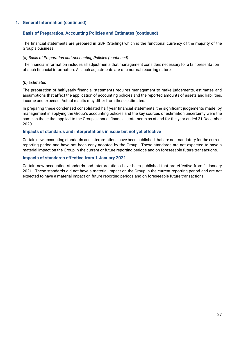### **1. General Information (continued)**

### **Basis of Preparation, Accounting Policies and Estimates (continued)**

The financial statements are prepared in GBP (Sterling) which is the functional currency of the majority of the Group's business.

### *(a) Basis of Preparation and Accounting Policies (continued)*

The financial information includes all adjustments that management considers necessary for a fair presentation of such financial information. All such adjustments are of a normal recurring nature.

### *(b) Estimates*

The preparation of half-yearly financial statements requires management to make judgements, estimates and assumptions that affect the application of accounting policies and the reported amounts of assets and liabilities, income and expense. Actual results may differ from these estimates.

In preparing these condensed consolidated half year financial statements, the significant judgements made by management in applying the Group's accounting policies and the key sources of estimation uncertainty were the same as those that applied to the Group's annual financial statements as at and for the year ended 31 December 2020.

### **Impacts of standards and interpretations in issue but not yet effective**

Certain new accounting standards and interpretations have been published that are not mandatory for the current reporting period and have not been early adopted by the Group. These standards are not expected to have a material impact on the Group in the current or future reporting periods and on foreseeable future transactions.

### **Impacts of standards effective from 1 January 2021**

Certain new accounting standards and interpretations have been published that are effective from 1 January 2021. These standards did not have a material impact on the Group in the current reporting period and are not expected to have a material impact on future reporting periods and on foreseeable future transactions.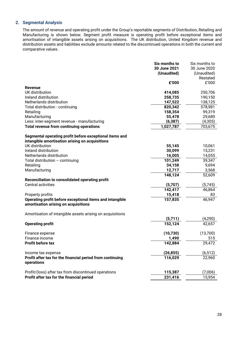### **2. Segmental Analysis**

The amount of revenue and operating profit under the Group's reportable segments of Distribution, Retailing and Manufacturing is shown below. Segment profit measure is operating profit before exceptional items and amortisation of intangible assets arising on acquisitions. The UK distribution, United Kingdom revenue and distribution assets and liabilities exclude amounts related to the discontinued operations in both the current and comparative values.

|                                                                                                            | Six months to<br>30 June 2021<br>(Unaudited) | Six months to<br>30 June 2020<br>(Unaudited)<br>Restated |
|------------------------------------------------------------------------------------------------------------|----------------------------------------------|----------------------------------------------------------|
|                                                                                                            | £'000                                        | $\pounds'000$                                            |
| <b>Revenue</b><br>UK distribution                                                                          | 414,085                                      | 250,706                                                  |
| Ireland distribution                                                                                       | 258,735                                      | 190,150                                                  |
| Netherlands distribution                                                                                   | 147,522                                      | 138,125                                                  |
| Total distribution - continuing                                                                            | 820,342                                      | 578,981                                                  |
| Retailing                                                                                                  | 158,354                                      | 99,319                                                   |
| Manufacturing                                                                                              | 55,478                                       | 29,680                                                   |
| Less: inter-segment revenue - manufacturing                                                                | (6, 387)                                     | (4,305)                                                  |
| Total revenue from continuing operations                                                                   | 1,027,787                                    | 703,675                                                  |
| Segmental operating profit before exceptional items and<br>intangible amortisation arising on acquisitions |                                              |                                                          |
| UK distribution                                                                                            | 55,145                                       | 10,061                                                   |
| Ireland distribution                                                                                       | 30,099                                       | 15,231                                                   |
| Netherlands distribution                                                                                   | 16,005                                       | 14,055                                                   |
| Total distribution - continuing                                                                            | 101,249                                      | 39,347                                                   |
| Retailing                                                                                                  | 34,158                                       | 9,694                                                    |
| Manufacturing                                                                                              | 12,717                                       | 3,568                                                    |
|                                                                                                            | 148,124                                      | 52,609                                                   |
| Reconciliation to consolidated operating profit                                                            |                                              |                                                          |
| Central activities                                                                                         | (5,707)                                      | (5,745)                                                  |
|                                                                                                            | 142,417                                      | 46,864                                                   |
| Property profits                                                                                           | 15,418                                       | 83                                                       |
| Operating profit before exceptional items and intangible<br>amortisation arising on acquisitions           | 157,835                                      | 46,947                                                   |
| Amortisation of intangible assets arising on acquisitions                                                  |                                              |                                                          |
|                                                                                                            | (5,711)                                      | (4,290)                                                  |
| <b>Operating profit</b>                                                                                    | 152,124                                      | 42,657                                                   |
| Finance expense                                                                                            | (10,730)                                     | (13,700)                                                 |
| Finance income                                                                                             | 1,490                                        | 515                                                      |
| Profit before tax                                                                                          | 142,884                                      | 29,472                                                   |
| Income tax expense                                                                                         | (26, 855)                                    | (6, 512)                                                 |
| Profit after tax for the financial period from continuing<br>operations                                    | 116,029                                      | 22,960                                                   |
| Profit/(loss) after tax from discontinued operations                                                       | 115,387                                      | (7,006)                                                  |
| Profit after tax for the financial period                                                                  | 231,416                                      | 15,954                                                   |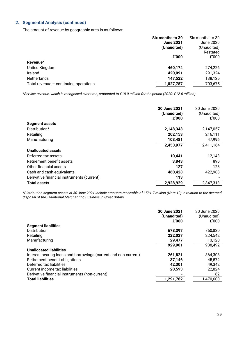# **2. Segmental Analysis (continued)**

The amount of revenue by geographic area is as follows:

|                                         | Six months to 30 | Six months to 30 |
|-----------------------------------------|------------------|------------------|
|                                         | <b>June 2021</b> | June 2020        |
|                                         | (Unaudited)      | (Unaudited)      |
|                                         |                  | Restated         |
|                                         | £'000            | £'000            |
| Revenue*                                |                  |                  |
| United Kingdom                          | 460,174          | 274,226          |
| Ireland                                 | 420,091          | 291,324          |
| <b>Netherlands</b>                      | 147,522          | 138,125          |
| Total revenue $-$ continuing operations | 1,027,787        | 703,675          |

*\*Service revenue, which is recognised over time, amounted to £18.0 million for the period (2020: £12.6 million)*

|                                            | 30 June 2021<br>(Unaudited)<br>£'000 | 30 June 2020<br>(Unaudited)<br>£'000 |
|--------------------------------------------|--------------------------------------|--------------------------------------|
| <b>Segment assets</b>                      |                                      |                                      |
| Distribution*                              | 2,148,343                            | 2,147,057                            |
| Retailing                                  | 202,153                              | 216,111                              |
| Manufacturing                              | 103,481                              | 47,996                               |
|                                            | 2,453,977                            | 2,411,164                            |
| <b>Unallocated assets</b>                  |                                      |                                      |
| Deferred tax assets                        | 10,441                               | 12,143                               |
| Retirement benefit assets                  | 3,843                                | 890                                  |
| Other financial assets                     | 127                                  | 128                                  |
| Cash and cash equivalents                  | 460,428                              | 422,988                              |
| Derivative financial instruments (current) | 113                                  |                                      |
| <b>Total assets</b>                        | 2,928,929                            | 2,847,313                            |

*\*Distribution segment assets at 30 June 2021 include amounts receivable of £581.7 million (Note 10) in relation to the deemed disposal of the Traditional Merchanting Business in Great Britain.*

| <b>Segment liabilities</b>                                      | 30 June 2021<br>(Unaudited)<br>£'000 | 30 June 2020<br>(Unaudited)<br>£'000 |
|-----------------------------------------------------------------|--------------------------------------|--------------------------------------|
| Distribution                                                    |                                      |                                      |
|                                                                 | 678,397                              | 750,830                              |
| Retailing                                                       | 222,027                              | 224,542                              |
| Manufacturing                                                   | 29,477                               | 13,120                               |
|                                                                 | 929,901                              | 988,492                              |
| <b>Unallocated liabilities</b>                                  |                                      |                                      |
| Interest bearing loans and borrowings (current and non-current) | 261,821                              | 364.308                              |
| Retirement benefit obligations                                  | 37,146                               | 45,572                               |
| Deferred tax liabilities                                        | 42.301                               | 49,342                               |
| Current income tax liabilities                                  | 20,593                               | 22,824                               |
| Derivative financial instruments (non-current)                  |                                      | 62                                   |
| <b>Total liabilities</b>                                        | 1,291,762                            | 1,470,600                            |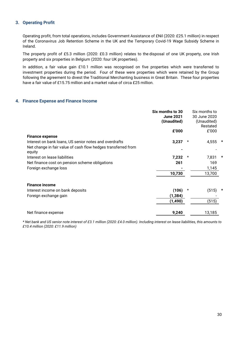### **3. Operating Profit**

Operating profit, from total operations, includes Government Assistance of £Nil (2020: £25.1 million) in respect of the Coronavirus Job Retention Scheme in the UK and the Temporary Covid-19 Wage Subsidy Scheme in Ireland.

The property profit of £5.3 million (2020: £0.3 million) relates to the disposal of one UK property, one Irish property and six properties in Belgium (2020: four UK properties).

In addition, a fair value gain £10.1 million was recognised on five properties which were transferred to investment properties during the period. Four of these were properties which were retained by the Group following the agreement to divest the Traditional Merchanting business in Great Britain. These four properties have a fair value of £15.75 million and a market value of circa £25 million.

### **4. Finance Expense and Finance Income**

|                                                                         | Six months to 30<br><b>June 2021</b><br>(Unaudited)<br>£'000 |          | Six months to<br>30 June 2020<br>(Unaudited)<br>Restated<br>£'000 |   |
|-------------------------------------------------------------------------|--------------------------------------------------------------|----------|-------------------------------------------------------------------|---|
| <b>Finance expense</b>                                                  |                                                              |          |                                                                   |   |
| Interest on bank loans, US senior notes and overdrafts                  | 3,237                                                        | $^\star$ | 4,555                                                             | * |
| Net change in fair value of cash flow hedges transferred from<br>equity |                                                              |          |                                                                   |   |
| Interest on lease liabilities                                           | 7,232                                                        | *        | 7,831                                                             | * |
| Net finance cost on pension scheme obligations                          | 261                                                          |          | 169                                                               |   |
| Foreign exchange loss                                                   |                                                              |          | 1,145                                                             |   |
|                                                                         | 10,730                                                       |          | 13,700                                                            |   |
| <b>Finance income</b>                                                   |                                                              |          |                                                                   |   |
| Interest income on bank deposits                                        | (106)                                                        | $^\star$ | (515)                                                             | * |
| Foreign exchange gain                                                   | (1, 384)                                                     |          |                                                                   |   |
|                                                                         | (1, 490)                                                     |          | (515)                                                             |   |
| Net finance expense                                                     | 9,240                                                        |          | 13,185                                                            |   |

*\* Net bank and US senior note interest of £3.1 million (2020: £4.0 million). Including interest on lease liabilities, this amounts to £10.4 million (2020: £11.9 million)*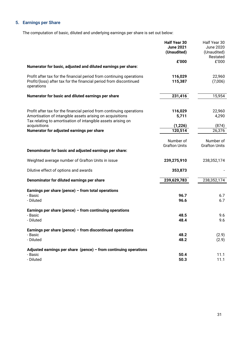# **5. Earnings per Share**

The computation of basic, diluted and underlying earnings per share is set out below:

|                                                                                                                                                                                                   | <b>Half Year 30</b><br><b>June 2021</b><br>(Unaudited) | Half Year 30<br><b>June 2020</b><br>(Unaudited)<br>Restated |
|---------------------------------------------------------------------------------------------------------------------------------------------------------------------------------------------------|--------------------------------------------------------|-------------------------------------------------------------|
|                                                                                                                                                                                                   | £'000                                                  | £'000                                                       |
| Numerator for basic, adjusted and diluted earnings per share:                                                                                                                                     |                                                        |                                                             |
| Profit after tax for the financial period from continuing operations<br>Profit/(loss) after tax for the financial period from discontinued<br>operations                                          | 116,029<br>115,387                                     | 22,960<br>(7,006)                                           |
| Numerator for basic and diluted earnings per share                                                                                                                                                | 231,416                                                | 15,954                                                      |
| Profit after tax for the financial period from continuing operations<br>Amortisation of intangible assets arising on acquisitions<br>Tax relating to amortisation of intangible assets arising on | 116,029<br>5,711                                       | 22,960<br>4,290                                             |
| acquisitions                                                                                                                                                                                      | (1, 226)                                               | (874)                                                       |
| Numerator for adjusted earnings per share                                                                                                                                                         | 120,514                                                | 26,376                                                      |
| Denominator for basic and adjusted earnings per share:                                                                                                                                            | Number of<br><b>Grafton Units</b>                      | Number of<br><b>Grafton Units</b>                           |
| Weighted average number of Grafton Units in issue                                                                                                                                                 | 239,275,910                                            | 238,352,174                                                 |
| Dilutive effect of options and awards                                                                                                                                                             | 353,873                                                |                                                             |
| Denominator for diluted earnings per share                                                                                                                                                        | 239,629,783                                            | 238,352,174                                                 |
| Earnings per share (pence) $-$ from total operations                                                                                                                                              |                                                        |                                                             |
| - Basic                                                                                                                                                                                           | 96.7                                                   | 6.7                                                         |
| - Diluted                                                                                                                                                                                         | 96.6                                                   | 6.7                                                         |
| Earnings per share (pence) $-$ from continuing operations                                                                                                                                         |                                                        |                                                             |
| - Basic                                                                                                                                                                                           | 48.5                                                   | 9.6                                                         |
| - Diluted                                                                                                                                                                                         | 48.4                                                   | 9.6                                                         |
| Earnings per share (pence) - from discontinued operations                                                                                                                                         |                                                        |                                                             |
| - Basic                                                                                                                                                                                           | 48.2                                                   | (2.9)                                                       |
| - Diluted                                                                                                                                                                                         | 48.2                                                   | (2.9)                                                       |
| Adjusted earnings per share (pence) - from continuing operations                                                                                                                                  |                                                        |                                                             |
| - Basic                                                                                                                                                                                           | 50.4                                                   | 11.1                                                        |
| - Diluted                                                                                                                                                                                         | 50.3                                                   | 11.1                                                        |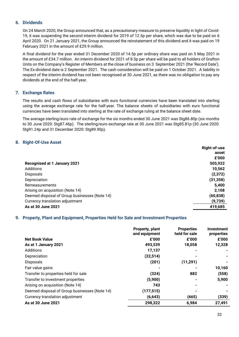### **6. Dividends**

On 24 March 2020, the Group announced that, as a precautionary measure to preserve liquidity in light of Covid-19, it was suspending the second interim dividend for 2019 of 12.5p per share, which was due to be paid on 6 April 2020. On 21 January 2021, the Group announced the reinstatement of this dividend and it was paid on 19 February 2021 in the amount of £29.9 million.

A final dividend for the year ended 31 December 2020 of 14.5p per ordinary share was paid on 5 May 2021 in the amount of £34.7 million. An interim dividend for 2021 of 8.5p per share will be paid to all holders of Grafton Units on the Company's Register of Members at the close of business on 3 September 2021 (the 'Record Date'). The Ex-dividend date is 2 September 2021. The cash consideration will be paid on 1 October 2021. A liability in respect of the interim dividend has not been recognised at 30 June 2021, as there was no obligation to pay any dividends at the end of the half-year.

### **7. Exchange Rates**

The results and cash flows of subsidiaries with euro functional currencies have been translated into sterling using the average exchange rate for the half-year. The balance sheets of subsidiaries with euro functional currencies have been translated into sterling at the rate of exchange ruling at the balance sheet date.

The average sterling/euro rate of exchange for the six months ended 30 June 2021 was Stg86.80p (six months to 30 June 2020: Stg87.46p). The sterling/euro exchange rate at 30 June 2021 was Stg85.81p (30 June 2020: Stg91.24p and 31 December 2020: Stg89.90p).

### **8. Right-Of-Use Asset**

| asset<br>£'000<br>505,922<br><b>Recognised at 1 January 2021</b><br>Additions<br>10,562<br>(2,372) |
|----------------------------------------------------------------------------------------------------|
|                                                                                                    |
|                                                                                                    |
|                                                                                                    |
|                                                                                                    |
| Disposals                                                                                          |
| Depreciation<br>(31, 358)                                                                          |
| 5,400<br>Remeasurements                                                                            |
| Arising on acquisition (Note 14)<br>2,108                                                          |
| Deemed disposal of Group businesses (Note 14)<br>(60, 838)                                         |
| Currency translation adjustment<br>(9,739)                                                         |
| As at 30 June 2021<br>419,685                                                                      |

### **9. Property, Plant and Equipment, Properties Held for Sale and Investment Properties**

|                                               | Property, plant<br>and equipment | <b>Properties</b><br>held for sale | <b>Investment</b><br>properties |
|-----------------------------------------------|----------------------------------|------------------------------------|---------------------------------|
| <b>Net Book Value</b>                         | £'000                            | £'000                              | £'000                           |
| As at 1 January 2021                          | 493,539                          | 18,058                             | 12,328                          |
| Additions                                     | 17,137                           |                                    |                                 |
| Depreciation                                  | (22, 514)                        |                                    |                                 |
| <b>Disposals</b>                              | (201)                            | (11, 291)                          |                                 |
| Fair value gains                              |                                  |                                    | 10,160                          |
| Transfer to properties held for sale          | (324)                            | 882                                | (558)                           |
| Transfer to investment properties             | (5,900)                          |                                    | 5,900                           |
| Arising on acquisition (Note 14)              | 743                              |                                    |                                 |
| Deemed disposal of Group businesses (Note 14) | (177, 515)                       |                                    |                                 |
| Currency translation adjustment               | (6, 643)                         | (665)                              | (339)                           |
| As at 30 June 2021                            | 298,322                          | 6,984                              | 27,491                          |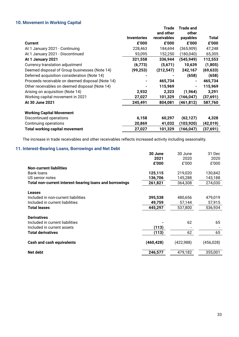# **10. Movement in Working Capital**

|                                                  |                    | <b>Trade</b><br>and other | <b>Trade and</b><br>other |           |
|--------------------------------------------------|--------------------|---------------------------|---------------------------|-----------|
|                                                  | <b>Inventories</b> | receivables               | payables                  | Total     |
| <b>Current</b>                                   | £'000              | £'000                     | £'000                     | £'000     |
| At 1 January 2021 - Continuing                   | 228,463            | 184,694                   | (365,909)                 | 47,248    |
| At 1 January 2021 - Discontinued                 | 93,095             | 152,250                   | (180, 040)                | 65,305    |
| At 1 January 2021                                | 321,558            | 336,944                   | (545, 949)                | 112,553   |
| Currency translation adjustment                  | (6,773)            | (5,671)                   | 10,639                    | (1,805)   |
| Deemed disposal of Group businesses (Note 14)    | (99, 253)          | (212, 547)                | 242,167                   | (69, 633) |
| Deferred acquisition consideration (Note 14)     |                    |                           | (658)                     | (658)     |
| Proceeds receivable on deemed disposal (Note 14) |                    | 465,734                   |                           | 465,734   |
| Other receivables on deemed disposal (Note 14)   |                    | 115,969                   |                           | 115,969   |
| Arising on acquisition (Note 14)                 | 2,932              | 2,323                     | (1,964)                   | 3,291     |
| Working capital movement in 2021                 | 27,027             | 101,329                   | (166, 047)                | (37,691)  |
| At 30 June 2021                                  | 245,491            | 804,081                   | (461, 812)                | 587,760   |
|                                                  |                    |                           |                           |           |
| <b>Working Capital Movement</b>                  |                    |                           |                           |           |
| Discontinued operations                          | 6,158              | 60,297                    | (62, 127)                 | 4,328     |
| Continuing operations                            | 20,869             | 41,032                    | (103, 920)                | (42,019)  |
| <b>Total working capital movement</b>            | 27,027             | 101,329                   | (166, 047)                | (37,691)  |

The increase in trade receivables and other receivables reflects increased activity including seasonality.

# **11. Interest-Bearing Loans, Borrowings and Net Debt**

|                                                         | 30 June    | 30 June   | 31 Dec    |
|---------------------------------------------------------|------------|-----------|-----------|
|                                                         | 2021       | 2020      | 2020      |
|                                                         | £'000      | £'000     | £'000     |
| <b>Non-current liabilities</b>                          |            |           |           |
| <b>Bank loans</b>                                       | 125,115    | 219,020   | 130,842   |
| US senior notes                                         | 136,706    | 145,288   | 143,188   |
| Total non-current interest-bearing loans and borrowings | 261,821    | 364,308   | 274,030   |
| <b>Leases</b>                                           |            |           |           |
| Included in non-current liabilities                     | 395,538    | 480,656   | 479,019   |
| Included in current liabilities                         | 49,759     | 57,144    | 57,915    |
| <b>Total leases</b>                                     | 445,297    | 537,800   | 536,934   |
|                                                         |            |           |           |
| <b>Derivatives</b>                                      |            |           |           |
| Included in current liabilities                         |            | 62        | 65        |
| Included in current assets                              | (113)      |           |           |
| <b>Total derivatives</b>                                | (113)      | 62        | 65        |
|                                                         |            |           |           |
| <b>Cash and cash equivalents</b>                        | (460, 428) | (422,988) | (456,028) |
|                                                         |            |           |           |
| Net debt                                                | 246,577    | 479,182   | 355,001   |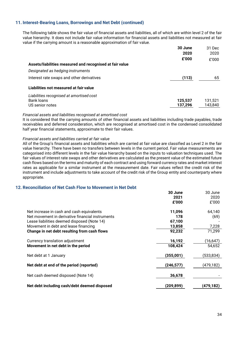### **11. Interest-Bearing Loans, Borrowings and Net Debt (continued)**

The following table shows the fair value of financial assets and liabilities, all of which are within level 2 of the fair value hierarchy. It does not include fair value information for financial assets and liabilities not measured at fair value if the carrying amount is a reasonable approximation of fair value.

|                                                          | 30 June | 31 Dec  |
|----------------------------------------------------------|---------|---------|
|                                                          | 2020    | 2020    |
|                                                          | £'000   | £'000   |
| Assets/liabilities measured and recognised at fair value |         |         |
| Designated as hedging instruments                        |         |         |
| Interest rate swaps and other derivatives                | (113)   | 65      |
| Liabilities not measured at fair value                   |         |         |
| Liabilities recognised at amortised cost                 |         |         |
| <b>Bank loans</b>                                        | 125,537 | 131,521 |
|                                                          |         |         |
| US senior notes                                          | 137,296 | 143,840 |

### *Financial assets and liabilities recognised at amortised cost*

It is considered that the carrying amounts of other financial assets and liabilities including trade payables, trade receivables and deferred consideration, which are recognised at amortised cost in the condensed consolidated half year financial statements, approximate to their fair values.

### *Financial assets and liabilities carried at fair value*

All of the Group's financial assets and liabilities which are carried at fair value are classified as Level 2 in the fair value hierarchy. There have been no transfers between levels in the current period. Fair value measurements are categorised into different levels in the fair value hierarchy based on the inputs to valuation techniques used. The fair values of interest rate swaps and other derivatives are calculated as the present value of the estimated future cash flows based on the terms and maturity of each contract and using forward currency rates and market interest rates as applicable for a similar instrument at the measurement date. Fair values reflect the credit risk of the instrument and include adjustments to take account of the credit risk of the Group entity and counterparty where appropriate.

### **12. Reconciliation of Net Cash Flow to Movement in Net Debt**

|                                                  | 30 June    | 30 June    |
|--------------------------------------------------|------------|------------|
|                                                  | 2021       | 2020       |
|                                                  | £'000      | £'000      |
| Net increase in cash and cash equivalents        | 11,096     | 64,140     |
| Net movement in derivative financial instruments | 178        | (69)       |
| Lease liabilities deemed disposed (Note 14)      | 67,100     |            |
| Movement in debt and lease financing             | 13,858     | 7,228      |
| Change in net debt resulting from cash flows     | 92,232     | 71,299     |
| Currency translation adjustment                  | 16,192     | (16,647)   |
| Movement in net debt in the period               | 108,424    | 54,652     |
| Net debt at 1 January                            | (355,001)  | (533, 834) |
| Net debt at end of the period (reported)         | (246, 577) | (479,182)  |
| Net cash deemed disposed (Note 14)               | 36,678     |            |
| Net debt including cash/debt deemed disposed     | (209,899)  | (479,182)  |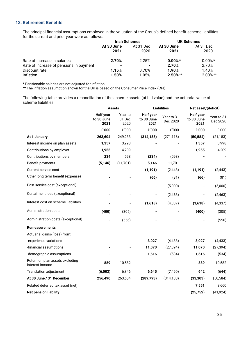## **13. Retirement Benefits**

The principal financial assumptions employed in the valuation of the Group's defined benefit scheme liabilities for the current and prior year were as follows:

|                                         | <b>Irish Schemes</b> |           | <b>UK Schemes</b> |             |
|-----------------------------------------|----------------------|-----------|-------------------|-------------|
|                                         | At 30 June           | At 31 Dec | At 30 June        | At 31 Dec   |
|                                         | 2021                 | 2020      | 2021              | 2020        |
| Rate of increase in salaries            | 2.70%                | 2.25%     | $0.00\%*$         | $0.00\%*$   |
| Rate of increase of pensions in payment | -                    |           | 2.70%             | 2.70%       |
| Discount rate                           | 1.15%                | 0.70%     | 1.90%             | 1.40%       |
| Inflation                               | 1.50%                | 1.05%     | $2.50\%**$        | $2.00\%$ ** |

\* Pensionable salaries are not adjusted for inflation

\*\* The inflation assumption shown for the UK is based on the Consumer Price Index (CPI)

The following table provides a reconciliation of the scheme assets (at bid value) and the actuarial value of scheme liabilities:

|                                                    | <b>Assets</b>                          |                           | <b>Liabilities</b>                     |                        | Net asset/(deficit)                    |                        |
|----------------------------------------------------|----------------------------------------|---------------------------|----------------------------------------|------------------------|----------------------------------------|------------------------|
|                                                    | <b>Half year</b><br>to 30 June<br>2021 | Year to<br>31 Dec<br>2020 | <b>Half year</b><br>to 30 June<br>2021 | Year to 31<br>Dec 2020 | <b>Half year</b><br>to 30 June<br>2021 | Year to 31<br>Dec 2020 |
|                                                    | £'000                                  | £'000                     | £'000                                  | £'000                  | £'000                                  | £'000                  |
| At 1 January                                       | 263,604                                | 249,933                   | (314, 188)                             | (271, 116)             | (50, 584)                              | (21, 183)              |
| Interest income on plan assets                     | 1,357                                  | 3,998                     |                                        |                        | 1,357                                  | 3,998                  |
| Contributions by employer                          | 1,955                                  | 4,209                     |                                        |                        | 1,955                                  | 4,209                  |
| Contributions by members                           | 234                                    | 598                       | (234)                                  | (598)                  |                                        |                        |
| Benefit payments                                   | (5, 146)                               | (11,701)                  | 5,146                                  | 11,701                 |                                        |                        |
| Current service cost                               |                                        |                           | (1, 191)                               | (2, 443)               | (1, 191)                               | (2, 443)               |
| Other long term benefit (expense)                  |                                        |                           | (66)                                   | (81)                   | (66)                                   | (81)                   |
| Past service cost (exceptional)                    |                                        |                           | $\blacksquare$                         | (5,000)                | $\overline{\phantom{a}}$               | (5,000)                |
| Curtailment loss (exceptional)                     |                                        |                           |                                        | (2,463)                |                                        | (2,463)                |
| Interest cost on scheme liabilities                |                                        |                           | (1,618)                                | (4, 337)               | (1,618)                                | (4, 337)               |
| <b>Administration costs</b>                        | (400)                                  | (305)                     |                                        |                        | (400)                                  | (305)                  |
| Administration costs (exceptional)                 |                                        | (556)                     |                                        |                        |                                        | (556)                  |
| <b>Remeasurements</b>                              |                                        |                           |                                        |                        |                                        |                        |
| Actuarial gains/(loss) from:                       |                                        |                           |                                        |                        |                                        |                        |
| -experience variations                             |                                        |                           | 3,027                                  | (4, 433)               | 3,027                                  | (4, 433)               |
| -financial assumptions                             |                                        |                           | 11,070                                 | (27, 394)              | 11,070                                 | (27, 394)              |
| -demographic assumptions                           |                                        |                           | 1,616                                  | (534)                  | 1,616                                  | (534)                  |
| Return on plan assets excluding<br>interest income | 889                                    | 10,582                    |                                        |                        | 889                                    | 10,582                 |
| Translation adjustment                             | (6,003)                                | 6,846                     | 6,645                                  | (7, 490)               | 642                                    | (644)                  |
| At 30 June / 31 December                           | 256,490                                | 263,604                   | (289, 793)                             | (314, 188)             | (33, 303)                              | (50, 584)              |
| Related deferred tax asset (net)                   |                                        |                           |                                        |                        | 7,551                                  | 8,660                  |
| <b>Net pension liability</b>                       |                                        |                           |                                        |                        | (25, 752)                              | (41, 924)              |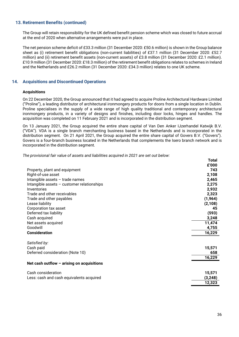### **13. Retirement Benefits (continued)**

The Group will retain responsibility for the UK defined benefit pension scheme which was closed to future accrual at the end of 2020 when alternative arrangements were put in place.

The net pension scheme deficit of £33.3 million (31 December 2020: £50.6 million) is shown in the Group balance sheet as (i) retirement benefit obligations (non-current liabilities) of £37.1 million (31 December 2020: £52.7 million) and (ii) retirement benefit assets (non-current assets) of £3.8 million (31 December 2020: £2.1 million). £10.9 million (31 December 2020: £18.3 million) of the retirement benefit obligations relates to schemes in Ireland and the Netherlands and £26.2 million (31 December 2020: £34.3 million) relates to one UK scheme.

### **14. Acquisitions and Discontinued Operations**

### **Acquisitions**

On 22 December 2020, the Group announced that it had agreed to acquire Proline Architectural Hardware Limited ("Proline"), a leading distributor of architectural ironmongery products for doors from a single location in Dublin. Proline specialises in the supply of a wide range of high quality traditional and contemporary architectural ironmongery products, in a variety of designs and finishes, including door locks, hinges and handles. The acquisition was completed on 11 February 2021 and is incorporated in the distribution segment.

On 13 January 2021, the Group acquired the entire share capital of Van Den Anker IJzerhandel Katwijk B.V. ("VDA"). VDA is a single branch merchanting business based in the Netherlands and is incorporated in the distribution segment. On 21 April 2021, the Group acquired the entire share capital of Govers B.V. ("Govers"). Govers is a four-branch business located in the Netherlands that complements the Isero branch network and is incorporated in the distribution segment.

*The provisional fair value of assets and liabilities acquired in 2021 are set out below:*

|                                              | £'000    |
|----------------------------------------------|----------|
| Property, plant and equipment                | 743      |
| Right-of-use asset                           | 2,108    |
| Intangible assets - trade names              | 2,465    |
| Intangible assets - customer relationships   | 2,275    |
| Inventories                                  | 2,932    |
| Trade and other receivables                  | 2,323    |
| Trade and other payables                     | (1,964)  |
| Lease liability                              | (2, 108) |
| Corporation tax asset                        | 45       |
| Deferred tax liability                       | (593)    |
| Cash acquired                                | 3,248    |
| Net assets acquired                          | 11,474   |
| Goodwill                                     | 4,755    |
| <b>Consideration</b>                         | 16,229   |
| Satisfied by:                                |          |
| Cash paid                                    | 15,571   |
| Deferred consideration (Note 10)             | 658      |
|                                              | 16,229   |
| Net cash outflow $-$ arising on acquisitions |          |
| Cash consideration                           | 15,571   |
| Less: cash and cash equivalents acquired     | (3, 248) |
|                                              | 12,323   |

**Total**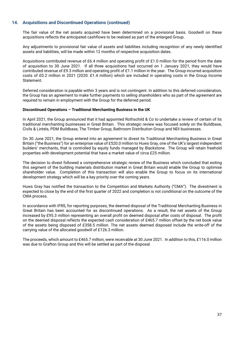The fair value of the net assets acquired have been determined on a provisional basis. Goodwill on these acquisitions reflects the anticipated cashflows to be realised as part of the enlarged Group.

Any adjustments to provisional fair value of assets and liabilities including recognition of any newly identified assets and liabilities, will be made within 12 months of respective acquisition dates.

Acquisitions contributed revenue of £6.4 million and operating profit of £1.0 million for the period from the date of acquisition to 30 June 2021. If all three acquisitions had occurred on 1 January 2021, they would have contributed revenue of £9.3 million and operating profit of £1.1 million in the year. The Group incurred acquisition costs of £0.2 million in 2021 (2020: £1.4 million) which are included in operating costs in the Group Income Statement.

Deferred consideration is payable within 3 years and is not contingent. In addition to this deferred consideration, the Group has an agreement to make further payments to selling shareholders who as part of the agreement are required to remain in employment with the Group for the deferred period.

### **Discontinued Operations – Traditional Merchanting Business in the UK**

In April 2021, the Group announced that it had appointed Rothschild & Co to undertake a review of certain of its traditional merchanting businesses in Great Britain. This strategic review was focused solely on the Buildbase, Civils & Lintels, PDM Buildbase, The Timber Group, Bathroom Distribution Group and NDI businesses.

On 30 June 2021, the Group entered into an agreement to divest its Traditional Merchanting Business in Great Britain ("the Business") for an enterprise value of £520.0 million to Huws Gray, one of the UK's largest independent builders' merchants, that is controlled by equity funds managed by Blackstone. The Group will retain freehold properties with development potential that have a market value of circa £25 million.

The decision to divest followed a comprehensive strategic review of the Business which concluded that exiting this segment of the building materials distribution market in Great Britain would enable the Group to optimise shareholder value. Completion of this transaction will also enable the Group to focus on its international development strategy which will be a key priority over the coming years.

Huws Gray has notified the transaction to the Competition and Markets Authority ("CMA"). The divestment is expected to close by the end of the first quarter of 2022 and completion is not conditional on the outcome of the CMA process.

In accordance with IFRS, for reporting purposes, the deemed disposal of the Traditional Merchanting Business in Great Britain has been accounted for as discontinued operations. As a result, the net assets of the Group increased by £95.3 million representing an overall profit on deemed disposal after costs of disposal. The profit on the deemed disposal reflects the expected cash consideration of £465.7 million offset by the net book value of the assets being disposed of £358.5 million. The net assets deemed disposed include the write-off of the carrying value of the allocated goodwill of £126.3 million.

The proceeds, which amount to £465.7 million, were receivable at 30 June 2021. In addition to this, £116.0 million was due to Grafton Group and this will be settled as part of the disposal.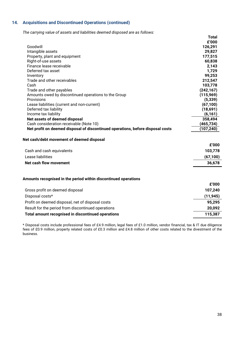*The carrying value of assets and liabilities deemed disposed are as follows:*

|                                                                                 | <b>Total</b> |
|---------------------------------------------------------------------------------|--------------|
|                                                                                 | £'000        |
| Goodwill                                                                        | 126,291      |
| Intangible assets                                                               | 29,827       |
| Property, plant and equipment                                                   | 177,515      |
| Right-of-use assets                                                             | 60,838       |
| Finance lease receivable                                                        | 2,143        |
| Deferred tax asset                                                              | 1,729        |
| Inventory                                                                       | 99,253       |
| Trade and other receivables                                                     | 212,547      |
| Cash                                                                            | 103,778      |
| Trade and other payables                                                        | (242, 167)   |
| Amounts owed by discontinued operations to the Group                            | (115,969)    |
| Provisions                                                                      | (5, 339)     |
| Lease liabilities (current and non-current)                                     | (67, 100)    |
| Deferred tax liability                                                          | (18,691)     |
| Income tax liability                                                            | (6, 161)     |
| Net assets of deemed disposal                                                   | 358,494      |
| Cash consideration receivable (Note 10)                                         | (465, 734)   |
| Net profit on deemed disposal of discontinued operations, before disposal costs | (107, 240)   |
| Net cash/debt movement of deemed disposal                                       |              |
|                                                                                 | £'000        |
| Cash and cash equivalents                                                       | 103,778      |
| Lease liabilities                                                               | (67, 100)    |
| <b>Net cash flow movement</b>                                                   | 36,678       |
|                                                                                 |              |
| Amounts recognised in the period within discontinued operations                 |              |
|                                                                                 | £'000        |
| Gross profit on deemed disposal                                                 | 107,240      |
| Disposal costs*                                                                 | (11, 945)    |
| Profit on deemed disposal, net of disposal costs                                | 95,295       |
| Result for the period from discontinued operations                              | 20,092       |
| <b>Total amount recognised in discontinued operations</b>                       | 115,387      |

\* Disposal costs include professional fees of £4.9 million, legal fees of £1.0 million, vendor financial, tax & IT due diligence fees of £0.9 million, property related costs of £0.3 million and £4.8 million of other costs related to the divestment of the business.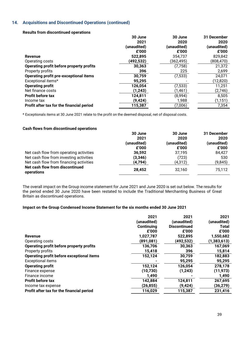### **Results from discontinued operations**

|                                               | 30 June     | 30 June     | 31 December |
|-----------------------------------------------|-------------|-------------|-------------|
|                                               | 2021        | 2020        | 2020        |
|                                               | (unaudited) | (unaudited) | (unaudited) |
|                                               | £'000       | £'000       | £'000       |
| Revenue                                       | 522,895     | 354,737     | 829,842     |
| Operating costs                               | (492,532)   | (362,495)   | (808,470)   |
| Operating profit before property profits      | 30,363      | (7,758)     | 21,372      |
| Property profits                              | 396         | 225         | 2,699       |
| <b>Operating profit pre-exceptional items</b> | 30,759      | (7, 533)    | 24,071      |
| Exceptional items*                            | 95,295      |             | (12, 820)   |
| <b>Operating profit</b>                       | 126,054     | (7,533)     | 11,251      |
| Net finance costs                             | (1, 243)    | (1,461)     | (2,746)     |
| <b>Profit before tax</b>                      | 124,811     | (8,994)     | 8,505       |
| Income tax                                    | (9, 424)    | 1,988       | (1, 151)    |
| Profit after tax for the financial period     | 115,387     | (7,006)     | 7,354       |

\* Exceptionals items at 30 June 2021 relate to the profit on the deemed disposal, net of disposal costs.

### **Cash flows from discontinued operations**

|                                               | 30 June<br>2021<br>(unaudited) | 30 June<br>2020<br>(unaudited) | 31 December<br>2020<br>(unaudited) |
|-----------------------------------------------|--------------------------------|--------------------------------|------------------------------------|
|                                               | £'000                          | £'000                          | £'000                              |
| Net cash flow from operating activities       | 36,592                         | 37,195                         | 84,427                             |
| Net cash flow from investing activities       | (3, 346)                       | (723)                          | 530                                |
| Net cash flow from financing activities       | (4,794)                        | (4, 312)                       | (9,845)                            |
| Net cash flow from discontinued<br>operations | 28,452                         | 32,160                         | 75,112                             |

The overall impact on the Group income statement for June 2021 and June 2020 is set out below. The results for the period ended 30 June 2020 have been restated to include the Traditional Merchanting Business of Great Britain as discontinued operations.

### **Impact on the Group Condensed Income Statement for the six months ended 30 June 2021**

|                                           | 2021        | 2021                | 2021          |
|-------------------------------------------|-------------|---------------------|---------------|
|                                           | (unaudited) | (unaudited)         | (unaudited)   |
|                                           | Continuing  | <b>Discontinued</b> | <b>Total</b>  |
|                                           | £'000       | £'000               | £'000         |
| Revenue                                   | 1,027,787   | 522,895             | 1,550,682     |
| Operating costs                           | (891, 081)  | (492,532)           | (1, 383, 613) |
| Operating profit before property profits  | 136,706     | 30,363              | 167,069       |
| Property profits                          | 15,418      | 396                 | 15,814        |
| Operating profit before exceptional items | 152,124     | 30,759              | 182,883       |
| <b>Exceptional items</b>                  |             | 95,295              | 95,295        |
| <b>Operating profit</b>                   | 152,124     | 126,054             | 278,178       |
| Finance expense                           | (10,730)    | (1, 243)            | (11, 973)     |
| Finance income                            | 1,490       |                     | 1,490         |
| <b>Profit before tax</b>                  | 142,884     | 124,811             | 267,695       |
| Income tax expense                        | (26,855)    | (9, 424)            | (36,279)      |
| Profit after tax for the financial period | 116,029     | 115,387             | 231,416       |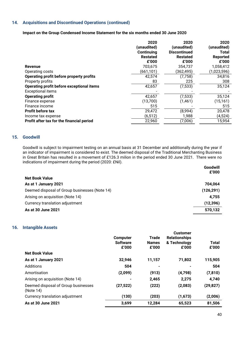### **Impact on the Group Condensed Income Statement for the six months ended 30 June 2020**

|                                           | 2020              | 2020                | 2020            |
|-------------------------------------------|-------------------|---------------------|-----------------|
|                                           | (unaudited)       | (unaudited)         | (unaudited)     |
|                                           | <b>Continuing</b> | <b>Discontinued</b> | <b>Total</b>    |
|                                           | <b>Restated</b>   | <b>Restated</b>     | <b>Reported</b> |
|                                           | £'000             | £'000               | £'000           |
| Revenue                                   | 703,675           | 354,737             | 1,058,412       |
| Operating costs                           | (661,101)         | (362,495)           | (1,023,596)     |
| Operating profit before property profits  | 42,574            | (7, 758)            | 34,816          |
| Property profits                          | 83                | 225                 | 308             |
| Operating profit before exceptional items | 42,657            | (7, 533)            | 35,124          |
| <b>Exceptional items</b>                  |                   |                     |                 |
| <b>Operating profit</b>                   | 42,657            | (7, 533)            | 35,124          |
| Finance expense                           | (13,700)          | (1,461)             | (15, 161)       |
| Finance income                            | 515               |                     | 515             |
| <b>Profit before tax</b>                  | 29,472            | (8,994)             | 20,478          |
| Income tax expense                        | (6, 512)          | 1,988               | (4, 524)        |
| Profit after tax for the financial period | 22,960            | (7,006)             | 15,954          |

### **15. Goodwill**

Goodwill is subject to impairment testing on an annual basis at 31 December and additionally during the year if an indicator of impairment is considered to exist. The deemed disposal of the Traditional Merchanting Business in Great Britain has resulted in a movement of £126.3 milion in the period ended 30 June 2021. There were no indications of impairment during the period (2020: £Nil).

|                                               | Goodwill<br>£'000 |
|-----------------------------------------------|-------------------|
| <b>Net Book Value</b>                         |                   |
| As at 1 January 2021                          | 704.064           |
| Deemed disposal of Group businesses (Note 14) | (126, 291)        |
| Arising on acquisition (Note 14)              | 4,755             |
| Currency translation adjustment               | (12, 396)         |
| As at 30 June 2021                            | 570,132           |

### **16. Intangible Assets**

|                                                  |                 |              | <b>Customer</b>      |              |
|--------------------------------------------------|-----------------|--------------|----------------------|--------------|
|                                                  | <b>Computer</b> | <b>Trade</b> | <b>Relationships</b> |              |
|                                                  | <b>Software</b> | <b>Names</b> | & Technology         | <b>Total</b> |
|                                                  | £'000           | £'000        | £'000                | £'000        |
| <b>Net Book Value</b>                            |                 |              |                      |              |
| As at 1 January 2021                             | 32,946          | 11,157       | 71,802               | 115,905      |
| Additions                                        | 504             | -            |                      | 504          |
| Amortisation                                     | (2,099)         | (913)        | (4,798)              | (7, 810)     |
| Arising on acquisition (Note 14)                 | -               | 2,465        | 2,275                | 4,740        |
| Deemed disposal of Group businesses<br>(Note 14) | (27, 522)       | (222)        | (2,083)              | (29, 827)    |
| Currency translation adjustment                  | (130)           | (203)        | (1,673)              | (2,006)      |
| As at 30 June 2021                               | 3,699           | 12,284       | 65,523               | 81,506       |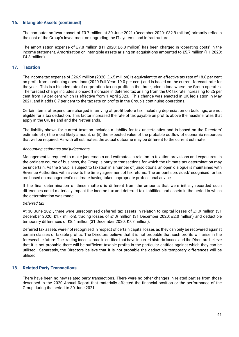### **16. Intangible Assets (continued)**

The computer software asset of £3.7 million at 30 June 2021 (December 2020: £32.9 million) primarily reflects the cost of the Group's investment on upgrading the IT systems and infrastructure.

The amortisation expense of £7.8 million (H1 2020: £6.8 million) has been charged in 'operating costs' in the income statement. Amortisation on intangible assets arising on acquisitions amounted to £5.7 million (H1 2020: £4.3 million).

### **17. Taxation**

The income tax expense of £26.9 million (2020: £6.5 million) is equivalent to an effective tax rate of 18.8 per cent on profit from continuing operations (2020 Full Year: 19.0 per cent) and is based on the current forecast rate for the year. This is a blended rate of corporation tax on profits in the three jurisdictions where the Group operates. The forecast charge includes a once-off increase in deferred tax arising from the UK tax rate increasing to 25 per cent from 19 per cent which is effective from 1 April 2023. This change was enacted in UK legislation in May 2021, and it adds 0.7 per cent to the tax rate on profits in the Group's continuing operations.

Certain items of expenditure charged in arriving at profit before tax, including depreciation on buildings, are not eligible for a tax deduction. This factor increased the rate of tax payable on profits above the headline rates that apply in the UK, Ireland and the Netherlands.

The liability shown for current taxation includes a liability for tax uncertainties and is based on the Directors' estimate of (i) the most likely amount; or (ii) the expected value of the probable outflow of economic resources that will be required. As with all estimates, the actual outcome may be different to the current estimate.

### *Accounting estimates and judgements*

Management is required to make judgements and estimates in relation to taxation provisions and exposures. In the ordinary course of business, the Group is party to transactions for which the ultimate tax determination may be uncertain. As the Group is subject to taxation in a number of jurisdictions, an open dialogue is maintained with Revenue Authorities with a view to the timely agreement of tax returns. The amounts provided/recognised for tax are based on management's estimate having taken appropriate professional advice.

If the final determination of these matters is different from the amounts that were initially recorded such differences could materially impact the income tax and deferred tax liabilities and assets in the period in which the determination was made.

### *Deferred tax*

At 30 June 2021, there were unrecognised deferred tax assets in relation to capital losses of £1.9 million (31 December 2020: £1.7 million), trading losses of £1.9 million (31 December 2020: £2.0 million) and deductible temporary differences of £8.4 million (31 December 2020: £7.7 million).

Deferred tax assets were not recognised in respect of certain capital losses as they can only be recovered against certain classes of taxable profits. The Directors believe that it is not probable that such profits will arise in the foreseeable future. The trading losses arose in entities that have incurred historic losses and the Directors believe that it is not probable there will be sufficient taxable profits in the particular entities against which they can be utilised. Separately, the Directors believe that it is not probable the deductible temporary differences will be utilised.

### **18. Related Party Transactions**

There have been no new related party transactions. There were no other changes in related parties from those described in the 2020 Annual Report that materially affected the financial position or the performance of the Group during the period to 30 June 2021.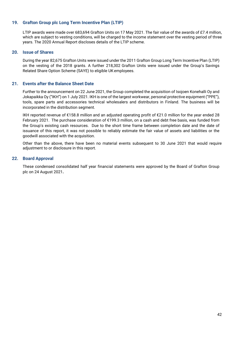### **19. Grafton Group plc Long Term Incentive Plan (LTIP)**

LTIP awards were made over 683,694 Grafton Units on 17 May 2021. The fair value of the awards of £7.4 million, which are subject to vesting conditions, will be charged to the income statement over the vesting period of three years. The 2020 Annual Report discloses details of the LTIP scheme.

### **20. Issue of Shares**

During the year 82,675 Grafton Units were issued under the 2011 Grafton Group Long Term Incentive Plan (LTIP) on the vesting of the 2018 grants. A further 218,302 Grafton Units were issued under the Group's Savings Related Share Option Scheme (SAYE) to eligible UK employees.

### **21. Events after the Balance Sheet Date**

Further to the announcement on 22 June 2021, the Group completed the acquisition of Isojoen Konehalli Oy and Jokapaikka Oy ("IKH") on 1 July 2021. IKH is one of the largest workwear, personal protective equipment ("PPE"), tools, spare parts and accessories technical wholesalers and distributors in Finland. The business will be incorporated in the distribution segment.

IKH reported revenue of €158.8 million and an adjusted operating profit of €21.0 million for the year ended 28 February 2021. The purchase consideration of €199.3 million, on a cash and debt free basis, was funded from the Group's existing cash resources. Due to the short time frame between completion date and the date of issuance of this report, it was not possible to reliably estimate the fair value of assets and liabilities or the goodwill associated with the acquisition.

Other than the above, there have been no material events subsequent to 30 June 2021 that would require adjustment to or disclosure in this report.

### **22. Board Approval**

These condensed consolidated half year financial statements were approved by the Board of Grafton Group plc on 24 August 2021**.**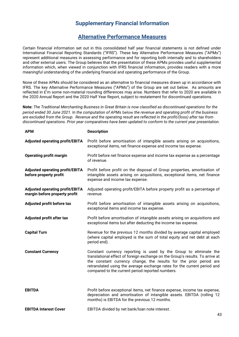# **Supplementary Financial Information**

# **Alternative Performance Measures**

Certain financial information set out in this consolidated half year financial statements is not defined under International Financial Reporting Standards ("IFRS"). These key Alternative Performance Measures ("APMs") represent additional measures in assessing performance and for reporting both internally and to shareholders and other external users. The Group believes that the presentation of these APMs provides useful supplemental information which, when viewed in conjunction with IFRS financial information, provides readers with a more meaningful understanding of the underlying financial and operating performance of the Group.

None of these APMs should be considered as an alternative to financial measures drawn up in accordance with IFRS. The key Alternative Performance Measures ("APMs") of the Group are set out below. As amounts are reflected in £'m some non-material rounding differences may arise. Numbers that refer to 2020 are available in the 2020 Annual Report and the 2020 Half Year Report, subject to restatement for discontinued operations.

**Note:** *The Traditional Merchanting Business in Great Britain is now classified as discontinued operations for the period ended 30 June 2021. In the computation of APMs* below *the revenue and operating profit of the business are excluded from the Group. Revenue and the operating result are reflected in the profit/(loss) after tax from discontinued operations. Prior year comparatives have been updated to conform to the current year presentation.*

| <b>APM</b>                                                              | <b>Description</b>                                                                                                                                                                                                                                                                                                                                       |
|-------------------------------------------------------------------------|----------------------------------------------------------------------------------------------------------------------------------------------------------------------------------------------------------------------------------------------------------------------------------------------------------------------------------------------------------|
| <b>Adjusted operating profit/EBITA</b>                                  | Profit before amortisation of intangible assets arising on acquisitions,<br>exceptional items, net finance expense and income tax expense.                                                                                                                                                                                                               |
| <b>Operating profit margin</b>                                          | Profit before net finance expense and income tax expense as a percentage<br>of revenue.                                                                                                                                                                                                                                                                  |
| <b>Adjusted operating profit/EBITA</b><br>before property profit        | Profit before profit on the disposal of Group properties, amortisation of<br>intangible assets arising on acquisitions, exceptional items, net finance<br>expense and income tax expense.                                                                                                                                                                |
| <b>Adjusted operating profit/EBITA</b><br>margin before property profit | Adjusted operating profit/EBITA before property profit as a percentage of<br>revenue.                                                                                                                                                                                                                                                                    |
| Adjusted profit before tax                                              | Profit before amortisation of intangible assets arising on acquisitions,<br>exceptional items and income tax expense.                                                                                                                                                                                                                                    |
| Adjusted profit after tax                                               | Profit before amortisation of intangible assets arising on acquisitions and<br>exceptional items but after deducting the income tax expense.                                                                                                                                                                                                             |
| <b>Capital Turn</b>                                                     | Revenue for the previous 12 months divided by average capital employed<br>(where capital employed is the sum of total equity and net debt at each<br>period end).                                                                                                                                                                                        |
| <b>Constant Currency</b>                                                | Constant currency reporting is used by the Group to eliminate the<br>translational effect of foreign exchange on the Group's results. To arrive at<br>the constant currency change, the results for the prior period are<br>retranslated using the average exchange rates for the current period and<br>compared to the current period reported numbers. |
| <b>EBITDA</b>                                                           | Profit before exceptional items, net finance expense, income tax expense,<br>depreciation and amortisation of intangible assets. EBITDA (rolling 12<br>months) is EBITDA for the previous 12 months.                                                                                                                                                     |
| <b>EBITDA Interest Cover</b>                                            | EBITDA divided by net bank/loan note interest.                                                                                                                                                                                                                                                                                                           |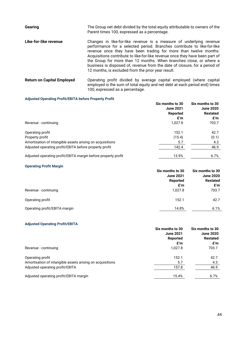| Gearing                           | The Group net debt divided by the total equity attributable to owners of the<br>Parent times 100, expressed as a percentage.                                                                                                                                                                                                                                                                                                                                                                                 |
|-----------------------------------|--------------------------------------------------------------------------------------------------------------------------------------------------------------------------------------------------------------------------------------------------------------------------------------------------------------------------------------------------------------------------------------------------------------------------------------------------------------------------------------------------------------|
| Like-for-like revenue             | Changes in like-for-like revenue is a measure of underlying revenue<br>performance for a selected period. Branches contribute to like-for-like<br>revenue once they have been trading for more than twelve months.<br>Acquisitions contribute to like-for-like revenue once they have been part of<br>the Group for more than 12 months. When branches close, or where a<br>business is disposed of, revenue from the date of closure, for a period of<br>12 months, is excluded from the prior year result. |
| <b>Return on Capital Employed</b> | Operating profit divided by average capital employed (where capital<br>employed is the sum of total equity and net debt at each period end) times                                                                                                                                                                                                                                                                                                                                                            |

100, expressed as a percentage.

### **Adjusted Operating Profit/EBITA before Property Profit**

|                                                               | Six months to 30<br><b>June 2021</b><br>Reported | Six months to 30<br><b>June 2020</b><br><b>Restated</b> |
|---------------------------------------------------------------|--------------------------------------------------|---------------------------------------------------------|
|                                                               |                                                  |                                                         |
|                                                               | £'n                                              | £'n                                                     |
| Revenue - continuing                                          | 1,027.8                                          | 703.7                                                   |
| Operating profit                                              | 152.1                                            | 42.7                                                    |
| Property profit                                               | (15.4)                                           | (0.1)                                                   |
| Amortisation of intangible assets arising on acquisitions     | 5.7                                              | 4.3                                                     |
| Adjusted operating profit/EBITA before property profit        | 142.4                                            | 46.9                                                    |
| Adjusted operating profit/EBITA margin before property profit | 13.9%                                            | 6.7%                                                    |

### **Operating Profit Margin**

|                               | Six months to 30 | Six months to 30<br><b>June 2020</b><br><b>Restated</b> |
|-------------------------------|------------------|---------------------------------------------------------|
|                               | <b>June 2021</b> |                                                         |
|                               | Reported         |                                                         |
|                               | E'm              | E'm                                                     |
| Revenue - continuing          | 1,027.8          | 703.7                                                   |
| Operating profit              | 152.1            | 42.7                                                    |
| Operating profit/EBITA margin | 14.8%            | 6.1%                                                    |

### **Adjusted Operating Profit/EBITA**

|                                                           | Six months to 30<br><b>June 2021</b><br>Reported | Six months to 30<br><b>June 2020</b><br><b>Restated</b> |
|-----------------------------------------------------------|--------------------------------------------------|---------------------------------------------------------|
|                                                           |                                                  |                                                         |
|                                                           | £'n                                              | E'm                                                     |
| Revenue - continuing                                      | 1,027.8                                          | 703.7                                                   |
| Operating profit                                          | 152.1                                            | 42.7                                                    |
| Amortisation of intangible assets arising on acquisitions | 5.7                                              | 4.3                                                     |
| Adjusted operating profit/EBITA                           | 157.8                                            | 46.9                                                    |
| Adjusted operating profit/EBITA margin                    | 15.4%                                            | 6.7%                                                    |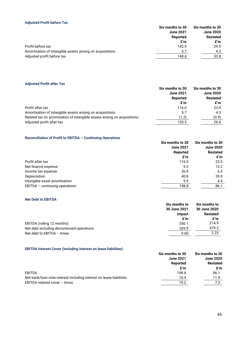### **Adjusted Profit before Tax**

|                                                           | Six months to 30 | Six months to 30 |
|-----------------------------------------------------------|------------------|------------------|
|                                                           | <b>June 2021</b> | <b>June 2020</b> |
|                                                           | Reported         | <b>Restated</b>  |
|                                                           | £'m              | $f{f}$           |
| Profit before tax                                         | 142.9            | 29.5             |
| Amortisation of intangible assets arising on acquisitions | 5.7              | 4.3              |
| Adjusted profit before tax                                | 148.6            | 33.8             |

### **Adjusted Profit after Tax**

|                                                                          | Six months to 30 | Six months to 30 |
|--------------------------------------------------------------------------|------------------|------------------|
|                                                                          | <b>June 2021</b> | <b>June 2020</b> |
|                                                                          | Reported         | <b>Restated</b>  |
|                                                                          | £'m              | £'m              |
| Profit after tax                                                         | 116.0            | 23.0             |
| Amortisation of intangible assets arising on acquisitions                | 5.7              | 4.3              |
| Related tax on amortisation of intangible assets arising on acquisitions | (1.2)            | (0.9)            |
| Adjusted profit after tax                                                | 120.5            | 26.4             |

### **Reconciliation of Profit to EBITDA – Continuing Operations**

|                                  | Six months to 30 | Six months to 30 |
|----------------------------------|------------------|------------------|
|                                  | <b>June 2021</b> | <b>June 2020</b> |
|                                  | Reported         | <b>Restated</b>  |
|                                  | £'m              | E'm              |
| Profit after tax                 | 116.0            | 23.0             |
| Net finance expense              | 9.2              | 13.2             |
| Income tax expense               | 26.9             | 6.5              |
| Depreciation                     | 40.8             | 39.0             |
| Intangible asset amortisation    | 5.9              | 4.4              |
| EBITDA $-$ continuing operations | 198.8            | 86.1             |
|                                  |                  |                  |

### **Net Debt to EBITDA**

|                                            | Six months to<br>30 June 2021<br>Impact<br>E'm | Six months to<br>30 June 2020<br><b>Restated</b><br>£'m |
|--------------------------------------------|------------------------------------------------|---------------------------------------------------------|
| EBITDA (rolling 12 months)                 | 350.1                                          | 214.9                                                   |
| Net debt including discontinued operations | 209.9                                          | 479.2                                                   |
| Net debt to $EBITDA - times$               | 0.60                                           | 2.23                                                    |

### **EBITDA Interest Cover (including interest on lease liabiliites)**

| Six months to 30<br><b>June 2021</b><br>Reported<br>£'m | Six months to 30<br><b>June 2020</b><br><b>Restated</b><br>f <sub>m</sub> |
|---------------------------------------------------------|---------------------------------------------------------------------------|
| 198.8                                                   | 86.1                                                                      |
| 10.4                                                    | 11.9                                                                      |
| 19.2                                                    | 7.3                                                                       |
|                                                         |                                                                           |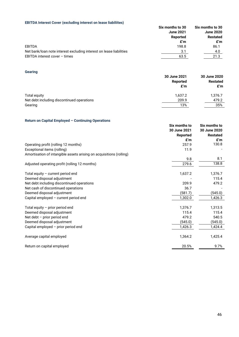## **EBITDA Interest Cover (excluding interest on lease liabiliites)**

|                                                                     | Six months to 30 | Six months to 30 |
|---------------------------------------------------------------------|------------------|------------------|
|                                                                     | <b>June 2021</b> | <b>June 2020</b> |
|                                                                     | Reported         | <b>Restated</b>  |
|                                                                     | £'m              | f'm              |
| EBITDA                                                              | 198.8            | 86.1             |
| Net bank/loan note interest excluding interest on lease liabilities | 3.1              | 4.0              |
| EBITDA interest cover $-$ times                                     | 63.5             | 21.3             |
|                                                                     |                  |                  |

#### **Gearing**

|                                            | 30 June 2021 | 30 June 2020           |  |
|--------------------------------------------|--------------|------------------------|--|
|                                            | Reported     | <b>Restated</b><br>£'m |  |
|                                            | E'm          |                        |  |
| Total equity                               | 1,637.2      | 1,376.7                |  |
| Net debt including discontinued operations | 209.9        | 479.2                  |  |
| Gearing                                    | 13%          | 35%                    |  |

### **Return on Capital Employed – Continuing Operations**

|                                                                     | Six months to | Six months to   |
|---------------------------------------------------------------------|---------------|-----------------|
|                                                                     | 30 June 2021  | 30 June 2020    |
|                                                                     | Reported      | <b>Restated</b> |
|                                                                     | £'m           | f'm             |
| Operating profit (rolling 12 months)                                | 257.9         | 130.8           |
| Exceptional items (rolling)                                         | 11.9          |                 |
| Amortisation of intangible assets arising on acquisitions (rolling) |               |                 |
|                                                                     | 9.8           | 8.1             |
| Adjusted operating profit (rolling 12 months)                       | 279.6         | 138.8           |
| Total equity $-$ current period end                                 | 1,637.2       | 1,376.7         |
| Deemed disposal adjustment                                          |               | 115.4           |
| Net debt including discontinued operations                          | 209.9         | 479.2           |
| Net cash of discontinued operations                                 | 36.7          |                 |
| Deemed disposal adjustment                                          | (581.7)       | (545.0)         |
| Capital employed - current period end                               | 1,302.0       | 1,426.3         |
|                                                                     |               |                 |
| Total equity - prior period end                                     | 1,376.7       | 1,313.5         |
| Deemed disposal adjustment                                          | 115.4         | 115.4           |
| Net debt $-$ prior period end                                       | 479.2         | 540.5           |
| Deemed disposal adjustment                                          | (545.0)       | (545.0)         |
| Capital employed - prior period end                                 | 1,426.3       | 1,424.4         |
| Average capital employed                                            | 1,364.2       | 1,425.4         |
| Return on capital employed                                          | 20.5%         | 9.7%            |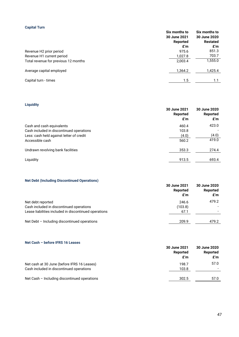### **Capital Turn**

|                                      | Six months to<br>30 June 2021<br>Reported | Six months to<br>30 June 2020<br><b>Restated</b> |
|--------------------------------------|-------------------------------------------|--------------------------------------------------|
|                                      |                                           |                                                  |
|                                      | E'm                                       | £'m                                              |
| Revenue H2 prior period              | 975.6                                     | 851.3                                            |
| Revenue H1 current period            | 1,027.8                                   | 703.7                                            |
| Total revenue for previous 12 months | 2,003.4                                   | 1,555.0                                          |
| Average capital employed             | 1,364.2                                   | 1,425.4                                          |
| Capital turn - times                 | $1.5\,$                                   | 1.1                                              |

## **Liquidity**

|                                          | 30 June 2021<br>Reported<br>£'m | 30 June 2020<br>Reported<br>£'m |
|------------------------------------------|---------------------------------|---------------------------------|
| Cash and cash equivalents                | 460.4                           | 423.0                           |
| Cash included in discontinued operations | 103.8                           |                                 |
| Less: cash held against letter of credit | (4.0)                           | (4.0)                           |
| Accessible cash                          | 560.2                           | 419.0                           |
| Undrawn revolving bank facilities        | 353.3                           | 274.4                           |
| Liquidity                                | 913.5                           | 693.4                           |

### **Net Debt (Including Discontinued Operations)**

|                                                       | 30 June 2021<br>Reported<br>£'m | 30 June 2020<br>Reported<br>$f{f}$ |
|-------------------------------------------------------|---------------------------------|------------------------------------|
| Net debt reported                                     | 246.6                           | 479.2                              |
| Cash included in discontinued operations              | (103.8)                         |                                    |
| Lease liabilities included in discontinued operations | 67.1                            |                                    |
| Net Debt - Including discontinued operations          | 209.9                           | 479.2                              |

### **Net Cash – before IFRS 16 Leases**

|                                                                                         | 30 June 2021<br>Reported<br>£'m | 30 June 2020<br>Reported<br>E'm |
|-----------------------------------------------------------------------------------------|---------------------------------|---------------------------------|
| Net cash at 30 June (before IFRS 16 Leases)<br>Cash included in discontinued operations | 198.7<br>103.8                  | 57.0                            |
| Net Cash $-$ Including discontinued operations                                          | 302.5                           | 57.0                            |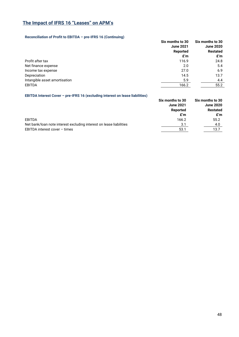# **The Impact of IFRS 16 "Leases" on APM's**

### **Reconciliation of Profit to EBITDA – pre-IFRS 16 (Continuing)**

|                               | Six months to 30 | Six months to 30 |
|-------------------------------|------------------|------------------|
|                               | <b>June 2021</b> | <b>June 2020</b> |
|                               | Reported         | <b>Restated</b>  |
|                               | E'm              | E'm              |
| Profit after tax              | 116.9            | 24.8             |
| Net finance expense           | 2.0              | 5.4              |
| Income tax expense            | 27.0             | 6.9              |
| Depreciation                  | 14.5             | 13.7             |
| Intangible asset amortisation | 5.9              | 4.4              |
| <b>EBITDA</b>                 | 166.2            | 55.2             |
|                               |                  |                  |

### **EBITDA Interest Cover – pre-IFRS 16 (excluding interest on lease liabilities)**

|                                                                     | Six months to 30             | Six months to 30                    |
|---------------------------------------------------------------------|------------------------------|-------------------------------------|
|                                                                     | <b>June 2021</b><br>Reported | <b>June 2020</b><br><b>Restated</b> |
|                                                                     |                              |                                     |
|                                                                     | £'m                          | £'m                                 |
| EBITDA                                                              | 166.2                        | 55.2                                |
| Net bank/loan note interest excluding interest on lease liabilities | 3.1                          | 4.0                                 |
| EBITDA interest cover $-$ times                                     | 53.1                         | 13.7                                |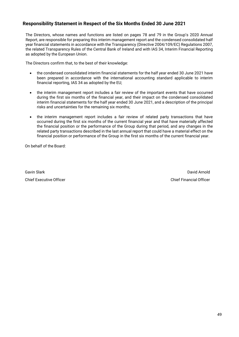# **Responsibility Statement in Respect of the Six Months Ended 30 June 2021**

The Directors, whose names and functions are listed on pages 78 and 79 in the Group's 2020 Annual Report, are responsible for preparing this interim management report and the condensed consolidated half year financial statements in accordance with the Transparency (Directive 2004/109/EC) Regulations 2007, the related Transparency Rules of the Central Bank of Ireland and with IAS 34, Interim Financial Reporting as adopted by the European Union.

The Directors confirm that, to the best of their knowledge:

- the condensed consolidated interim financial statements for the half year ended 30 June 2021 have been prepared in accordance with the international accounting standard applicable to interim financial reporting, IAS 34 as adopted by the EU;
- the interim management report includes a fair review of the important events that have occurred during the first six months of the financial year, and their impact on the condensed consolidated interim financial statements for the half year ended 30 June 2021, and a description of the principal risks and uncertainties for the remaining six months;
- the interim management report includes a fair review of related party transactions that have occurred during the first six months of the current financial year and that have materially affected the financial position or the performance of the Group during that period, and any changes in the related party transactions described in the last annual report that could have a material effect on the financial position or performance of the Group in the first six months of the current financial year.

On behalf of the Board:

Gavin Slark David Arnold Chief Executive Officer Chief Financial Officer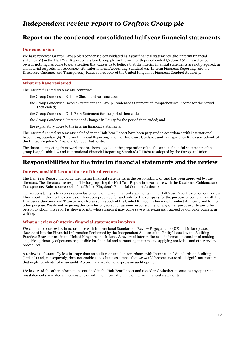# *Independent review report to Grafton Group plc*

# **Report on the condensed consolidated half year financial statements**

#### **Our conclusion**

We have reviewed Grafton Group plc's condensed consolidated half year financial statements (the "interim financial statements") in the Half Year Report of Grafton Group plc for the six month period ended 30 June 2021. Based on our review, nothing has come to our attention that causes us to believe that the interim financial statements are not prepared, in all material respects, in accordance with International Accounting Standard 34, 'Interim Financial Reporting' and the Disclosure Guidance and Transparency Rules sourcebook of the United Kingdom's Financial Conduct Authority.

#### **What we have reviewed**

The interim financial statements, comprise:

- the Group Condensed Balance Sheet as at 30 June 2021;
- the Group Condensed Income Statement and Group Condensed Statement of Comprehensive Income for the period then ended;
- the Group Condensed Cash Flow Statement for the period then ended;
- the Group Condensed Statement of Changes in Equity for the period then ended; and
- the explanatory notes to the interim financial statements.

The interim financial statements included in the Half Year Report have been prepared in accordance with International Accounting Standard 34, 'Interim Financial Reporting' and the Disclosure Guidance and Transparency Rules sourcebook of the United Kingdom's Financial Conduct Authority.

The financial reporting framework that has been applied in the preparation of the full annual financial statements of the group is applicable law and International Financial Reporting Standards (IFRSs) as adopted by the European Union.

# **Responsibilities for the interim financial statements and the review**

#### **Our responsibilities and those of the directors**

The Half Year Report, including the interim financial statements, is the responsibility of, and has been approved by, the directors. The directors are responsible for preparing the Half Year Report in accordance with the Disclosure Guidance and Transparency Rules sourcebook of the United Kingdom's Financial Conduct Authority.

Our responsibility is to express a conclusion on the interim financial statements in the Half Year Report based on our review. This report, including the conclusion, has been prepared for and only for the company for the purpose of complying with the Disclosure Guidance and Transparency Rules sourcebook of the United Kingdom's Financial Conduct Authority and for no other purpose. We do not, in giving this conclusion, accept or assume responsibility for any other purpose or to any other person to whom this report is shown or into whose hands it may come save where expressly agreed by our prior consent in writing.

### **What a review of interim financial statements involves**

We conducted our review in accordance with International Standard on Review Engagements (UK and Ireland) 2410, 'Review of Interim Financial Information Performed by the Independent Auditor of the Entity' issued by the Auditing Practices Board for use in the United Kingdom and Ireland. A review of interim financial information consists of making enquiries, primarily of persons responsible for financial and accounting matters, and applying analytical and other review procedures.

A review is substantially less in scope than an audit conducted in accordance with International Standards on Auditing (Ireland) and, consequently, does not enable us to obtain assurance that we would become aware of all significant matters that might be identified in an audit. Accordingly, we do not express an audit opinion.

We have read the other information contained in the Half Year Report and considered whether it contains any apparent misstatements or material inconsistencies with the information in the interim financial statements.